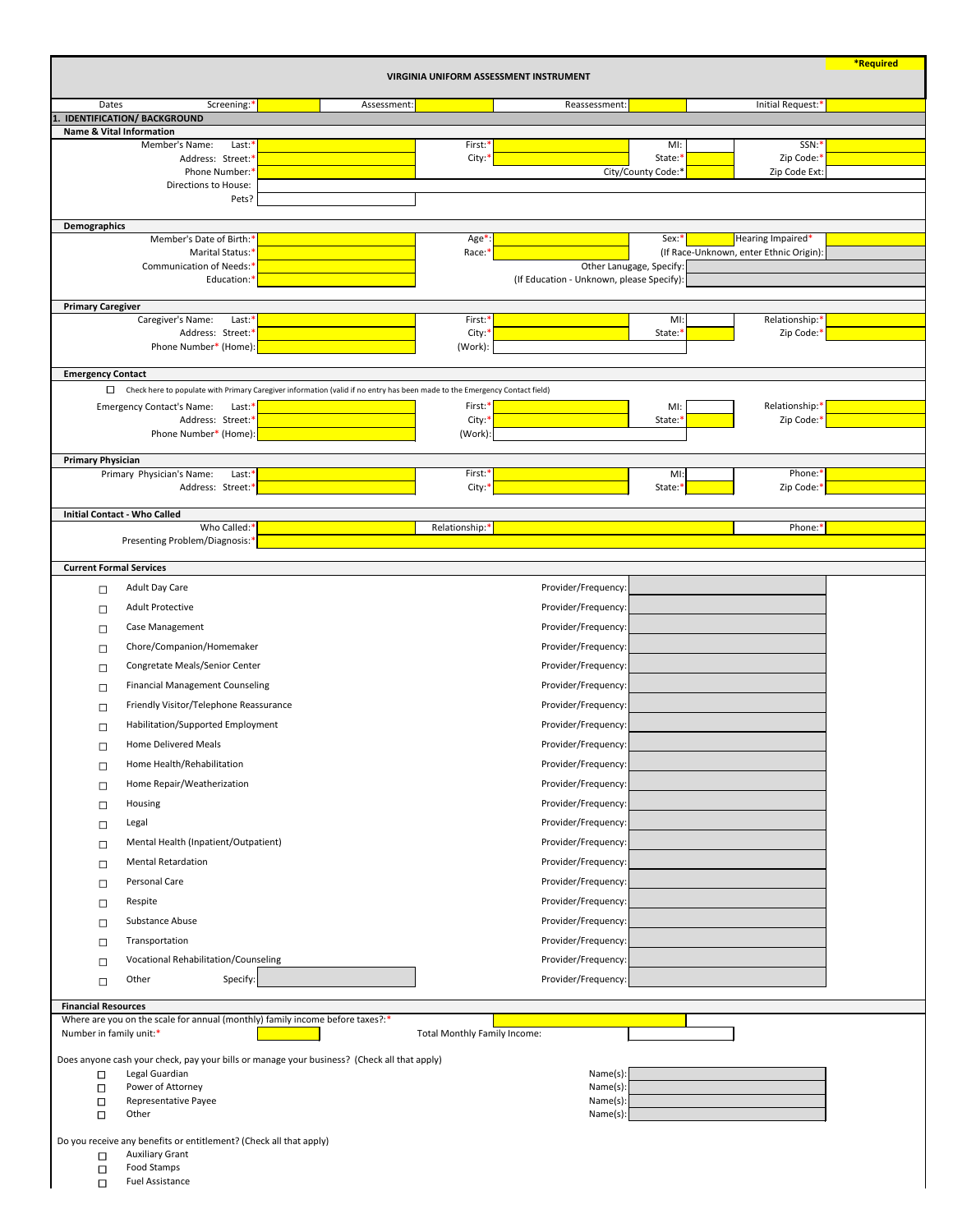| <b>VIRGINIA UNIFORM ASSESSMENT INSTRUMENT</b>                                                                                        |             |                                     |                                           |                     |                                                              |  |  |
|--------------------------------------------------------------------------------------------------------------------------------------|-------------|-------------------------------------|-------------------------------------------|---------------------|--------------------------------------------------------------|--|--|
| Screening:*<br>Dates                                                                                                                 | Assessment: |                                     | Reassessment:                             |                     | Initial Request:*                                            |  |  |
| IDENTIFICATION/BACKGROUND                                                                                                            |             |                                     |                                           |                     |                                                              |  |  |
| <b>Name &amp; Vital Information</b><br>Member's Name:<br>Last:*                                                                      |             | First: <sup>*</sup>                 |                                           | MI:                 | SSN: <sup>*</sup>                                            |  |  |
| Address: Street:*                                                                                                                    |             | City: $*$                           |                                           | State: <sup>*</sup> | Zip Code:*                                                   |  |  |
| Phone Number:*                                                                                                                       |             |                                     |                                           | City/County Code:*  | Zip Code Ext:                                                |  |  |
| <b>Directions to House:</b><br>Pets?                                                                                                 |             |                                     |                                           |                     |                                                              |  |  |
|                                                                                                                                      |             |                                     |                                           |                     |                                                              |  |  |
| <b>Demographics</b>                                                                                                                  |             |                                     |                                           |                     |                                                              |  |  |
| Member's Date of Birth:*<br>Marital Status:*                                                                                         |             | Age*<br>Race: <sup>*</sup>          |                                           | Sex:*               | Hearing Impaired*<br>(If Race-Unknown, enter Ethnic Origin): |  |  |
| Communication of Needs:*                                                                                                             |             |                                     | Other Lanugage, Specify:                  |                     |                                                              |  |  |
| Education:*                                                                                                                          |             |                                     | (If Education - Unknown, please Specify): |                     |                                                              |  |  |
| <b>Primary Caregiver</b>                                                                                                             |             |                                     |                                           |                     |                                                              |  |  |
| Caregiver's Name:<br>Last $*$                                                                                                        |             | First:*                             |                                           | $M!$ :              | Relationship:*                                               |  |  |
| Address: Street:*<br>Phone Number* (Home):                                                                                           |             | City:<br>(Work):                    |                                           | State:'             | Zip Code:*                                                   |  |  |
|                                                                                                                                      |             |                                     |                                           |                     |                                                              |  |  |
| <b>Emergency Contact</b>                                                                                                             |             |                                     |                                           |                     |                                                              |  |  |
| $\Box$<br>Check here to populate with Primary Caregiver information (valid if no entry has been made to the Emergency Contact field) |             |                                     |                                           |                     |                                                              |  |  |
| <b>Emergency Contact's Name:</b><br>Last $*$<br>Address: Street:*                                                                    |             | First:*<br>City:                    |                                           | MI:<br>State:       | Relationship:*<br>Zip Code:*                                 |  |  |
| Phone Number* (Home):                                                                                                                |             | (Work):                             |                                           |                     |                                                              |  |  |
|                                                                                                                                      |             |                                     |                                           |                     |                                                              |  |  |
| <b>Primary Physician</b><br>Primary Physician's Name:<br>$Last.*$                                                                    |             | First:*                             |                                           | $Ml$ :              | Phone:*                                                      |  |  |
| Address: Street:*                                                                                                                    |             | City: <sup>*</sup>                  |                                           | State: <sup>*</sup> | Zip Code:'                                                   |  |  |
| <b>Initial Contact - Who Called</b>                                                                                                  |             |                                     |                                           |                     |                                                              |  |  |
| Who Called:*                                                                                                                         |             | Relationship:*                      |                                           |                     | Phone:*                                                      |  |  |
| Presenting Problem/Diagnosis:*                                                                                                       |             |                                     |                                           |                     |                                                              |  |  |
| <b>Current Formal Services</b>                                                                                                       |             |                                     |                                           |                     |                                                              |  |  |
| Adult Day Care<br>$\Box$                                                                                                             |             |                                     | Provider/Frequency:                       |                     |                                                              |  |  |
| <b>Adult Protective</b>                                                                                                              |             |                                     | Provider/Frequency:                       |                     |                                                              |  |  |
| $\Box$<br>Case Management                                                                                                            |             |                                     | Provider/Frequency:                       |                     |                                                              |  |  |
| $\Box$                                                                                                                               |             |                                     |                                           |                     |                                                              |  |  |
| Chore/Companion/Homemaker<br>$\Box$                                                                                                  |             |                                     | Provider/Frequency:                       |                     |                                                              |  |  |
| Congretate Meals/Senior Center<br>$\Box$                                                                                             |             |                                     | Provider/Frequency:                       |                     |                                                              |  |  |
| <b>Financial Management Counseling</b><br>$\Box$                                                                                     |             |                                     | Provider/Frequency:                       |                     |                                                              |  |  |
| Friendly Visitor/Telephone Reassurance<br>$\Box$                                                                                     |             |                                     | Provider/Frequency:                       |                     |                                                              |  |  |
| Habilitation/Supported Employment<br>$\Box$                                                                                          |             |                                     | Provider/Frequency:                       |                     |                                                              |  |  |
| <b>Home Delivered Meals</b><br>$\Box$                                                                                                |             |                                     | Provider/Frequency:                       |                     |                                                              |  |  |
| Home Health/Rehabilitation<br>$\Box$                                                                                                 |             |                                     | Provider/Frequency:                       |                     |                                                              |  |  |
| Home Repair/Weatherization<br>$\Box$                                                                                                 |             |                                     | Provider/Frequency:                       |                     |                                                              |  |  |
| Housing<br>$\Box$                                                                                                                    |             |                                     | Provider/Frequency:                       |                     |                                                              |  |  |
| Legal<br>$\Box$                                                                                                                      |             |                                     | Provider/Frequency:                       |                     |                                                              |  |  |
| Mental Health (Inpatient/Outpatient)<br>$\Box$                                                                                       |             |                                     | Provider/Frequency:                       |                     |                                                              |  |  |
| <b>Mental Retardation</b><br>$\Box$                                                                                                  |             |                                     | Provider/Frequency:                       |                     |                                                              |  |  |
| Personal Care<br>$\Box$                                                                                                              |             |                                     | Provider/Frequency:                       |                     |                                                              |  |  |
| Respite<br>$\Box$                                                                                                                    |             |                                     | Provider/Frequency:                       |                     |                                                              |  |  |
| Substance Abuse<br>$\Box$                                                                                                            |             |                                     | Provider/Frequency:                       |                     |                                                              |  |  |
| Transportation<br>$\Box$                                                                                                             |             |                                     | Provider/Frequency:                       |                     |                                                              |  |  |
| <b>Vocational Rehabilitation/Counseling</b><br>$\Box$                                                                                |             |                                     | Provider/Frequency:                       |                     |                                                              |  |  |
| Specify:<br>Other                                                                                                                    |             |                                     | Provider/Frequency:                       |                     |                                                              |  |  |
| $\Box$                                                                                                                               |             |                                     |                                           |                     |                                                              |  |  |
| <b>Financial Resources</b>                                                                                                           |             |                                     |                                           |                     |                                                              |  |  |
| Where are you on the scale for annual (monthly) family income before taxes?:*<br>Number in family unit:*                             |             | <b>Total Monthly Family Income:</b> |                                           |                     |                                                              |  |  |
|                                                                                                                                      |             |                                     |                                           |                     |                                                              |  |  |
| Does anyone cash your check, pay your bills or manage your business? (Check all that apply)                                          |             |                                     |                                           |                     |                                                              |  |  |
| Legal Guardian<br>$\Box$<br>Power of Attorney<br>$\Box$                                                                              |             |                                     | Name(s):<br>Name(s):                      |                     |                                                              |  |  |
| Representative Payee<br>$\Box$                                                                                                       |             |                                     | Name(s):                                  |                     |                                                              |  |  |
| Other<br>$\Box$                                                                                                                      |             |                                     | Name(s):                                  |                     |                                                              |  |  |
| Do you receive any benefits or entitlement? (Check all that apply)                                                                   |             |                                     |                                           |                     |                                                              |  |  |
| <b>Auxiliary Grant</b><br>$\Box$                                                                                                     |             |                                     |                                           |                     |                                                              |  |  |
| Food Stamps<br>$\Box$<br><b>Fuel Assistance</b><br>$\Box$                                                                            |             |                                     |                                           |                     |                                                              |  |  |
|                                                                                                                                      |             |                                     |                                           |                     |                                                              |  |  |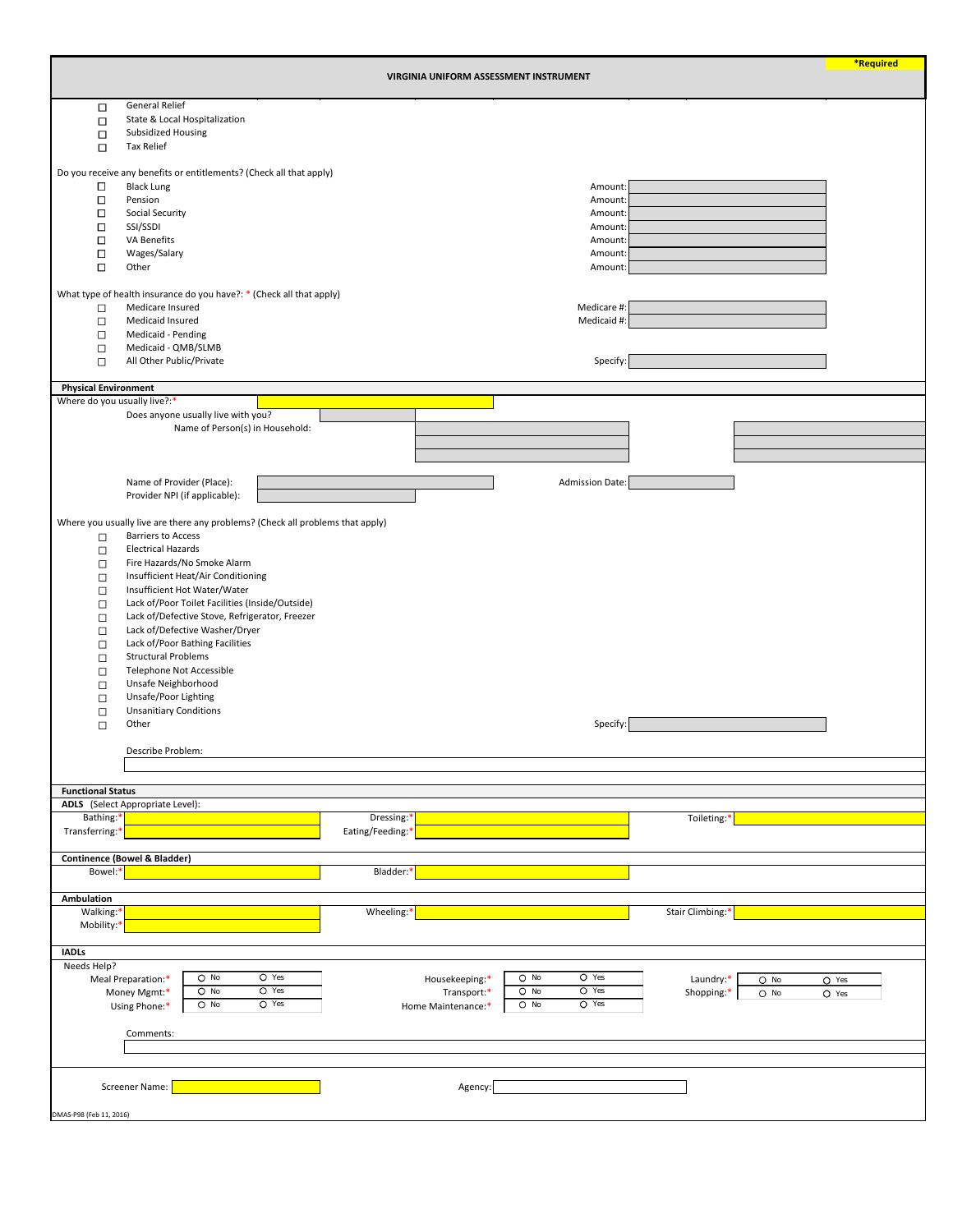|                             |                                                                                |         | VIRGINIA UNIFORM ASSESSMENT INSTRUMENT |                        |                      | *Required |
|-----------------------------|--------------------------------------------------------------------------------|---------|----------------------------------------|------------------------|----------------------|-----------|
|                             |                                                                                |         |                                        |                        |                      |           |
| $\Box$                      | <b>General Relief</b>                                                          |         |                                        |                        |                      |           |
| $\Box$                      | State & Local Hospitalization                                                  |         |                                        |                        |                      |           |
| $\Box$                      | Subsidized Housing                                                             |         |                                        |                        |                      |           |
| $\Box$                      | <b>Tax Relief</b>                                                              |         |                                        |                        |                      |           |
|                             |                                                                                |         |                                        |                        |                      |           |
|                             | Do you receive any benefits or entitlements? (Check all that apply)            |         |                                        |                        |                      |           |
| $\Box$                      | <b>Black Lung</b>                                                              |         |                                        | Amount:                |                      |           |
| $\Box$                      | Pension                                                                        |         |                                        | Amount:                |                      |           |
| $\Box$                      | <b>Social Security</b>                                                         |         |                                        | Amount:                |                      |           |
| $\Box$                      | SSI/SSDI                                                                       |         |                                        | Amount:                |                      |           |
| $\Box$                      | VA Benefits                                                                    |         |                                        | Amount:                |                      |           |
| $\Box$                      | Wages/Salary                                                                   |         |                                        | Amount:                |                      |           |
| $\Box$                      | Other                                                                          |         |                                        | Amount:                |                      |           |
|                             |                                                                                |         |                                        |                        |                      |           |
|                             |                                                                                |         |                                        |                        |                      |           |
|                             | What type of health insurance do you have?: * (Check all that apply)           |         |                                        |                        |                      |           |
| $\Box$                      | Medicare Insured                                                               |         |                                        | Medicare #:            |                      |           |
| $\Box$                      | Medicaid Insured                                                               |         |                                        | Medicaid #:            |                      |           |
| $\Box$                      | Medicaid - Pending                                                             |         |                                        |                        |                      |           |
| $\Box$                      | Medicaid - QMB/SLMB                                                            |         |                                        |                        |                      |           |
| $\Box$                      | All Other Public/Private                                                       |         |                                        | Specify:               |                      |           |
|                             |                                                                                |         |                                        |                        |                      |           |
| <b>Physical Environment</b> |                                                                                |         |                                        |                        |                      |           |
|                             | Where do you usually live?:*                                                   |         |                                        |                        |                      |           |
|                             | Does anyone usually live with you?                                             |         |                                        |                        |                      |           |
|                             | Name of Person(s) in Household:                                                |         |                                        |                        |                      |           |
|                             |                                                                                |         |                                        |                        |                      |           |
|                             |                                                                                |         |                                        |                        |                      |           |
|                             |                                                                                |         |                                        |                        |                      |           |
|                             | Name of Provider (Place):                                                      |         |                                        | <b>Admission Date:</b> |                      |           |
|                             |                                                                                |         |                                        |                        |                      |           |
|                             | Provider NPI (if applicable):                                                  |         |                                        |                        |                      |           |
|                             |                                                                                |         |                                        |                        |                      |           |
|                             | Where you usually live are there any problems? (Check all problems that apply) |         |                                        |                        |                      |           |
| $\Box$                      | <b>Barriers to Access</b>                                                      |         |                                        |                        |                      |           |
| □                           | <b>Electrical Hazards</b>                                                      |         |                                        |                        |                      |           |
| $\Box$                      | Fire Hazards/No Smoke Alarm                                                    |         |                                        |                        |                      |           |
| $\Box$                      | Insufficient Heat/Air Conditioning                                             |         |                                        |                        |                      |           |
| $\Box$                      | Insufficient Hot Water/Water                                                   |         |                                        |                        |                      |           |
|                             |                                                                                |         |                                        |                        |                      |           |
| $\Box$                      | Lack of/Poor Toilet Facilities (Inside/Outside)                                |         |                                        |                        |                      |           |
| $\Box$                      | Lack of/Defective Stove, Refrigerator, Freezer                                 |         |                                        |                        |                      |           |
| $\Box$                      | Lack of/Defective Washer/Dryer                                                 |         |                                        |                        |                      |           |
| $\Box$                      | Lack of/Poor Bathing Facilities                                                |         |                                        |                        |                      |           |
| $\Box$                      | <b>Structural Problems</b>                                                     |         |                                        |                        |                      |           |
| $\Box$                      | Telephone Not Accessible                                                       |         |                                        |                        |                      |           |
| $\Box$                      | Unsafe Neighborhood                                                            |         |                                        |                        |                      |           |
|                             | Unsafe/Poor Lighting                                                           |         |                                        |                        |                      |           |
| $\Box$                      |                                                                                |         |                                        |                        |                      |           |
| $\Box$                      | <b>Unsanitiary Conditions</b>                                                  |         |                                        |                        |                      |           |
| $\Box$                      | Other                                                                          |         |                                        | Specify:               |                      |           |
|                             |                                                                                |         |                                        |                        |                      |           |
|                             | Describe Problem:                                                              |         |                                        |                        |                      |           |
|                             |                                                                                |         |                                        |                        |                      |           |
|                             |                                                                                |         |                                        |                        |                      |           |
| <b>Functional Status</b>    |                                                                                |         |                                        |                        |                      |           |
|                             | <b>ADLS</b> (Select Appropriate Level):                                        |         |                                        |                        |                      |           |
| Bathing:*                   |                                                                                |         | Dressing:*                             |                        | Toileting:*          |           |
| Transferring:*              |                                                                                |         | Eating/Feeding:*                       |                        |                      |           |
|                             |                                                                                |         |                                        |                        |                      |           |
|                             |                                                                                |         |                                        |                        |                      |           |
|                             | <b>Continence (Bowel &amp; Bladder)</b>                                        |         |                                        |                        |                      |           |
| Bowel:*                     |                                                                                |         | Bladder:*                              |                        |                      |           |
|                             |                                                                                |         |                                        |                        |                      |           |
| Ambulation                  |                                                                                |         |                                        |                        |                      |           |
| Walking:*                   |                                                                                |         | Wheeling:*                             |                        | Stair Climbing:*     |           |
| Mobility:*                  |                                                                                |         |                                        |                        |                      |           |
|                             |                                                                                |         |                                        |                        |                      |           |
| <b>IADLs</b>                |                                                                                |         |                                        |                        |                      |           |
| Needs Help?                 |                                                                                |         |                                        |                        |                      |           |
|                             | $O$ No                                                                         | $O$ Yes |                                        | $O$ Yes<br>$O$ No      |                      |           |
|                             | Meal Preparation:*<br>$O$ No                                                   | $O$ Yes | Housekeeping:*                         | $O$ Yes                | Laundry:*<br>$O$ No  | O Yes     |
|                             | Money Mgmt:*                                                                   |         | Transport:*                            | $O$ No                 | Shopping:*<br>$O$ No | O Yes     |
|                             | $O$ No<br>Using Phone:*                                                        | $O$ Yes | Home Maintenance:*                     | $O$ Yes<br>$O$ No      |                      |           |
|                             |                                                                                |         |                                        |                        |                      |           |
|                             | Comments:                                                                      |         |                                        |                        |                      |           |
|                             |                                                                                |         |                                        |                        |                      |           |
|                             |                                                                                |         |                                        |                        |                      |           |
|                             |                                                                                |         |                                        |                        |                      |           |
|                             | <b>Screener Name:</b>                                                          |         | Agency:                                |                        |                      |           |
|                             |                                                                                |         |                                        |                        |                      |           |
|                             |                                                                                |         |                                        |                        |                      |           |
| DMAS-P98 (Feb 11, 2016)     |                                                                                |         |                                        |                        |                      |           |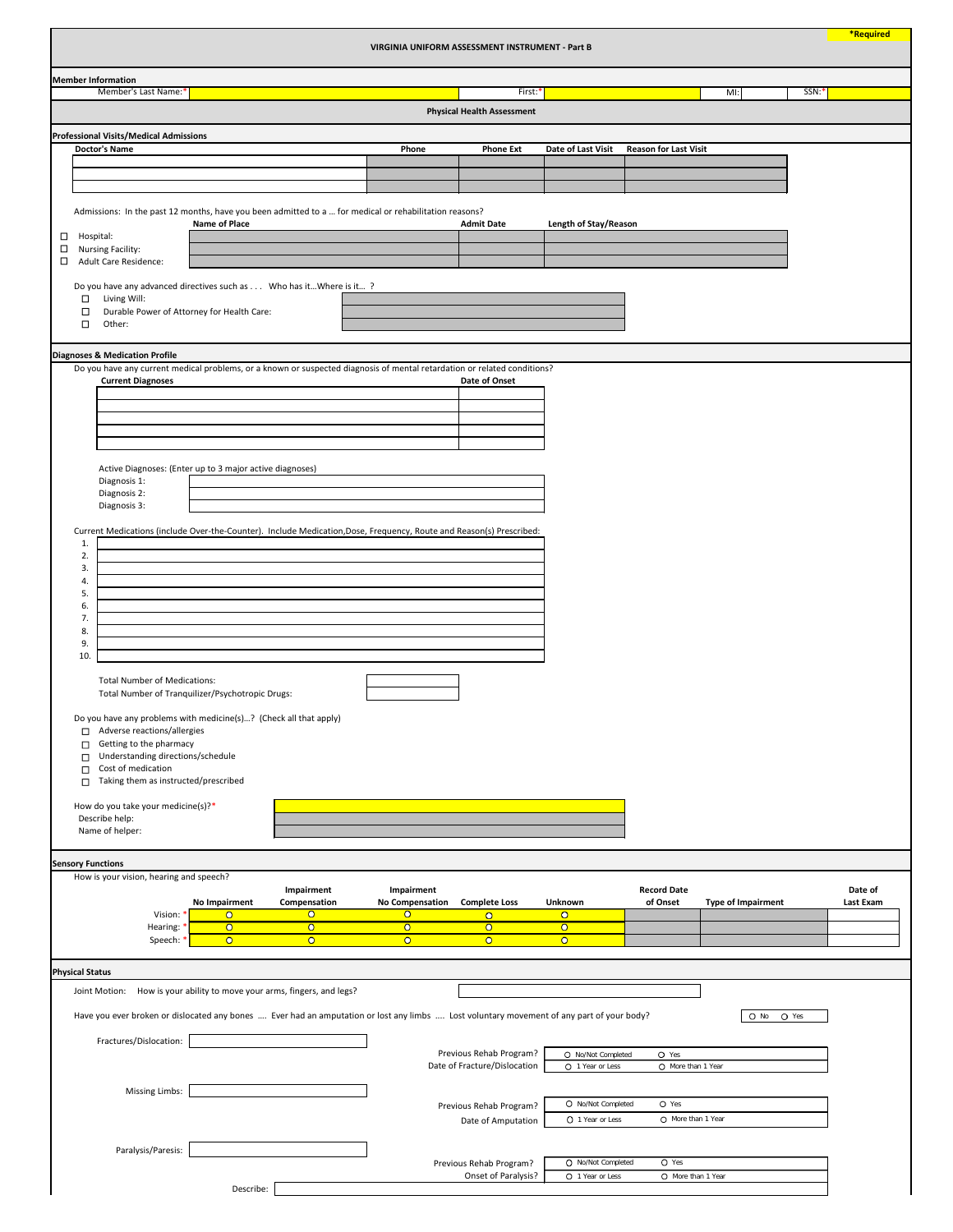| VIRGINIA UNIFORM ASSESSMENT INSTRUMENT - Part B                                                                                                                       |                                                           |                                      |                                              |                                           |                                |                           | <b>*Required</b>     |
|-----------------------------------------------------------------------------------------------------------------------------------------------------------------------|-----------------------------------------------------------|--------------------------------------|----------------------------------------------|-------------------------------------------|--------------------------------|---------------------------|----------------------|
| <b>Member Information</b>                                                                                                                                             |                                                           |                                      |                                              |                                           |                                |                           |                      |
| Member's Last Name:*                                                                                                                                                  |                                                           |                                      | First:*<br><b>Physical Health Assessment</b> |                                           |                                | $M!$ :                    | SSN:*                |
|                                                                                                                                                                       |                                                           |                                      |                                              |                                           |                                |                           |                      |
| <b>Professional Visits/Medical Admissions</b><br><b>Doctor's Name</b>                                                                                                 |                                                           | Phone                                | <b>Phone Ext</b>                             | Date of Last Visit                        | <b>Reason for Last Visit</b>   |                           |                      |
|                                                                                                                                                                       |                                                           |                                      |                                              |                                           |                                |                           |                      |
|                                                                                                                                                                       |                                                           |                                      |                                              |                                           |                                |                           |                      |
| Admissions: In the past 12 months, have you been admitted to a  for medical or rehabilitation reasons?                                                                |                                                           |                                      |                                              |                                           |                                |                           |                      |
| <b>Name of Place</b>                                                                                                                                                  |                                                           |                                      | <b>Admit Date</b>                            | <b>Length of Stay/Reason</b>              |                                |                           |                      |
| Hospital:<br>$\Box$<br>$\Box$<br><b>Nursing Facility:</b>                                                                                                             |                                                           |                                      |                                              |                                           |                                |                           |                      |
| $\Box$<br><b>Adult Care Residence:</b>                                                                                                                                |                                                           |                                      |                                              |                                           |                                |                           |                      |
| Do you have any advanced directives such as Who has it Where is it?                                                                                                   |                                                           |                                      |                                              |                                           |                                |                           |                      |
| $\Box$<br>Living Will:<br>Durable Power of Attorney for Health Care:<br>$\Box$                                                                                        |                                                           |                                      |                                              |                                           |                                |                           |                      |
| $\Box$<br>Other:                                                                                                                                                      |                                                           |                                      |                                              |                                           |                                |                           |                      |
|                                                                                                                                                                       |                                                           |                                      |                                              |                                           |                                |                           |                      |
| <b>Diagnoses &amp; Medication Profile</b><br>Do you have any current medical problems, or a known or suspected diagnosis of mental retardation or related conditions? |                                                           |                                      |                                              |                                           |                                |                           |                      |
| <b>Current Diagnoses</b>                                                                                                                                              |                                                           |                                      | Date of Onset                                |                                           |                                |                           |                      |
|                                                                                                                                                                       |                                                           |                                      |                                              |                                           |                                |                           |                      |
|                                                                                                                                                                       |                                                           |                                      |                                              |                                           |                                |                           |                      |
|                                                                                                                                                                       |                                                           |                                      |                                              |                                           |                                |                           |                      |
|                                                                                                                                                                       |                                                           |                                      |                                              |                                           |                                |                           |                      |
| Active Diagnoses: (Enter up to 3 major active diagnoses)<br>Diagnosis 1:                                                                                              |                                                           |                                      |                                              |                                           |                                |                           |                      |
| Diagnosis 2:<br>Diagnosis 3:                                                                                                                                          |                                                           |                                      |                                              |                                           |                                |                           |                      |
|                                                                                                                                                                       |                                                           |                                      |                                              |                                           |                                |                           |                      |
| Current Medications (include Over-the-Counter). Include Medication, Dose, Frequency, Route and Reason(s) Prescribed:<br>1.                                            |                                                           |                                      |                                              |                                           |                                |                           |                      |
| 2.                                                                                                                                                                    |                                                           |                                      |                                              |                                           |                                |                           |                      |
| 3.<br>4.                                                                                                                                                              |                                                           |                                      |                                              |                                           |                                |                           |                      |
| 5.                                                                                                                                                                    |                                                           |                                      |                                              |                                           |                                |                           |                      |
| 6.<br>7.                                                                                                                                                              |                                                           |                                      |                                              |                                           |                                |                           |                      |
| 8.                                                                                                                                                                    |                                                           |                                      |                                              |                                           |                                |                           |                      |
| 9.<br>10.                                                                                                                                                             |                                                           |                                      |                                              |                                           |                                |                           |                      |
|                                                                                                                                                                       |                                                           |                                      |                                              |                                           |                                |                           |                      |
| <b>Total Number of Medications:</b><br>Total Number of Tranquilizer/Psychotropic Drugs:                                                                               |                                                           |                                      |                                              |                                           |                                |                           |                      |
|                                                                                                                                                                       |                                                           |                                      |                                              |                                           |                                |                           |                      |
| Do you have any problems with medicine(s)? (Check all that apply)<br>Adverse reactions/allergies<br>□                                                                 |                                                           |                                      |                                              |                                           |                                |                           |                      |
| Getting to the pharmacy<br>$\Box$                                                                                                                                     |                                                           |                                      |                                              |                                           |                                |                           |                      |
| Understanding directions/schedule<br>$\Box$<br>Cost of medication<br>П                                                                                                |                                                           |                                      |                                              |                                           |                                |                           |                      |
| Taking them as instructed/prescribed<br>□                                                                                                                             |                                                           |                                      |                                              |                                           |                                |                           |                      |
| How do you take your medicine(s)?*                                                                                                                                    |                                                           |                                      |                                              |                                           |                                |                           |                      |
| Describe help:                                                                                                                                                        |                                                           |                                      |                                              |                                           |                                |                           |                      |
| Name of helper:                                                                                                                                                       |                                                           |                                      |                                              |                                           |                                |                           |                      |
| <b>Sensory Functions</b>                                                                                                                                              |                                                           |                                      |                                              |                                           |                                |                           |                      |
| How is your vision, hearing and speech?                                                                                                                               |                                                           |                                      |                                              |                                           |                                |                           |                      |
| <b>No Impairment</b>                                                                                                                                                  | Impairment<br>Compensation                                | Impairment<br><b>No Compensation</b> | <b>Complete Loss</b>                         | Unknown                                   | <b>Record Date</b><br>of Onset | <b>Type of Impairment</b> | Date of<br>Last Exam |
| Vision: *<br>$\overline{O}$                                                                                                                                           | $\overline{O}$                                            | $\overline{O}$                       | $\overline{O}$                               | $\overline{O}$                            |                                |                           |                      |
| $\overline{O}$<br>Hearing: *<br>$\overline{O}$<br>Speech: *                                                                                                           | $\overline{O}$<br>$\overline{O}$                          | $\overline{O}$<br>$\overline{O}$     | $\overline{O}$<br>$\overline{O}$             | $\overline{\mathbf{o}}$<br>$\overline{O}$ |                                |                           |                      |
|                                                                                                                                                                       |                                                           |                                      |                                              |                                           |                                |                           |                      |
| <b>Physical Status</b>                                                                                                                                                |                                                           |                                      |                                              |                                           |                                |                           |                      |
| Joint Motion:                                                                                                                                                         | How is your ability to move your arms, fingers, and legs? |                                      |                                              |                                           |                                |                           |                      |
| Have you ever broken or dislocated any bones  Ever had an amputation or lost any limbs  Lost voluntary movement of any part of your body?                             |                                                           |                                      |                                              |                                           |                                | O No O Yes                |                      |
|                                                                                                                                                                       |                                                           |                                      |                                              |                                           |                                |                           |                      |
| Fractures/Dislocation:                                                                                                                                                |                                                           |                                      | Previous Rehab Program?                      | O No/Not Completed                        | O Yes                          |                           |                      |
|                                                                                                                                                                       |                                                           |                                      | Date of Fracture/Dislocation                 | O 1 Year or Less                          | O More than 1 Year             |                           |                      |
| <b>Missing Limbs:</b>                                                                                                                                                 |                                                           |                                      |                                              |                                           |                                |                           |                      |
|                                                                                                                                                                       |                                                           |                                      | Previous Rehab Program?                      | O No/Not Completed                        | O Yes                          |                           |                      |
|                                                                                                                                                                       |                                                           |                                      | Date of Amputation                           | O 1 Year or Less                          | O More than 1 Year             |                           |                      |
|                                                                                                                                                                       |                                                           |                                      |                                              |                                           |                                |                           |                      |
| Paralysis/Paresis:                                                                                                                                                    |                                                           |                                      | Previous Rehab Program?                      | O No/Not Completed                        | O Yes                          |                           |                      |
|                                                                                                                                                                       |                                                           |                                      | Onset of Paralysis?                          | O 1 Year or Less                          | O More than 1 Year             |                           |                      |
|                                                                                                                                                                       | Describe:                                                 |                                      |                                              |                                           |                                |                           |                      |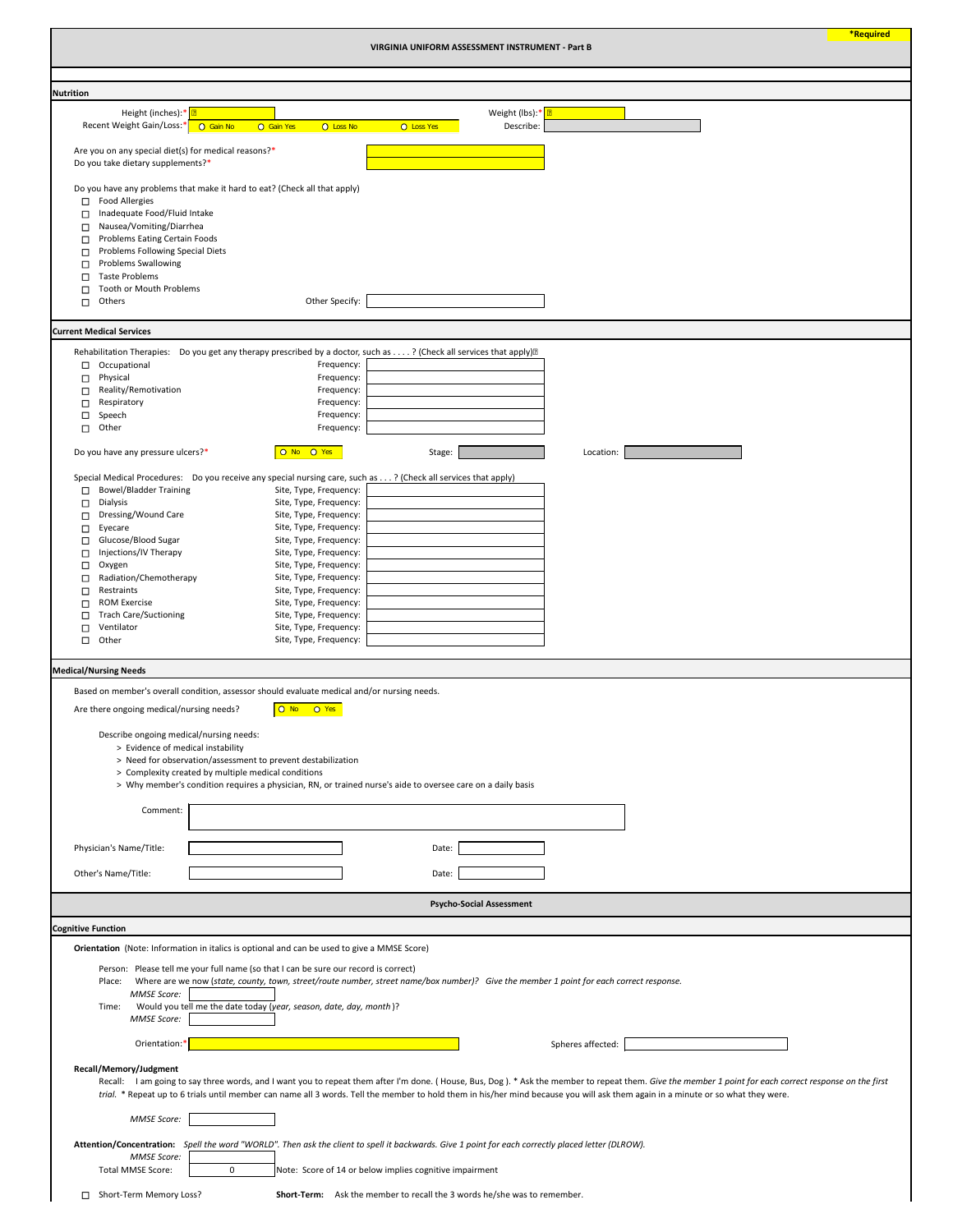|                                                                                                                                                                                                                                                                                                                      |                                                                                                                                                                                                                                                                                                                                                                                                                                                                 | VIRGINIA UNIFORM ASSESSMENT INSTRUMENT - Part B                                                                                                                                                                                                                                                                                                                                             |                   | <b>*Required</b> |
|----------------------------------------------------------------------------------------------------------------------------------------------------------------------------------------------------------------------------------------------------------------------------------------------------------------------|-----------------------------------------------------------------------------------------------------------------------------------------------------------------------------------------------------------------------------------------------------------------------------------------------------------------------------------------------------------------------------------------------------------------------------------------------------------------|---------------------------------------------------------------------------------------------------------------------------------------------------------------------------------------------------------------------------------------------------------------------------------------------------------------------------------------------------------------------------------------------|-------------------|------------------|
|                                                                                                                                                                                                                                                                                                                      |                                                                                                                                                                                                                                                                                                                                                                                                                                                                 |                                                                                                                                                                                                                                                                                                                                                                                             |                   |                  |
| <b>Nutrition</b>                                                                                                                                                                                                                                                                                                     |                                                                                                                                                                                                                                                                                                                                                                                                                                                                 |                                                                                                                                                                                                                                                                                                                                                                                             |                   |                  |
| Height (inches):* 0<br>Recent Weight Gain/Loss:*                                                                                                                                                                                                                                                                     | O Gain No<br>O Loss No<br>O Gain Yes                                                                                                                                                                                                                                                                                                                                                                                                                            | Weight (lbs):* <mark>민</mark><br>Describe:<br><b>O</b> Loss Yes                                                                                                                                                                                                                                                                                                                             |                   |                  |
| Are you on any special diet(s) for medical reasons?*<br>Do you take dietary supplements?*                                                                                                                                                                                                                            |                                                                                                                                                                                                                                                                                                                                                                                                                                                                 |                                                                                                                                                                                                                                                                                                                                                                                             |                   |                  |
| <b>Food Allergies</b><br>$\Box$<br>Inadequate Food/Fluid Intake<br>Nausea/Vomiting/Diarrhea<br>□<br>Problems Eating Certain Foods<br>□<br>Problems Following Special Diets<br>□<br><b>Problems Swallowing</b><br>□<br><b>Taste Problems</b><br>□<br>Tooth or Mouth Problems<br>П<br>Others<br>□                      | Do you have any problems that make it hard to eat? (Check all that apply)<br>Other Specify:                                                                                                                                                                                                                                                                                                                                                                     |                                                                                                                                                                                                                                                                                                                                                                                             |                   |                  |
| <b>Current Medical Services</b>                                                                                                                                                                                                                                                                                      |                                                                                                                                                                                                                                                                                                                                                                                                                                                                 |                                                                                                                                                                                                                                                                                                                                                                                             |                   |                  |
|                                                                                                                                                                                                                                                                                                                      |                                                                                                                                                                                                                                                                                                                                                                                                                                                                 |                                                                                                                                                                                                                                                                                                                                                                                             |                   |                  |
| Occupational<br>$\Box$<br>Physical<br>□<br>Reality/Remotivation<br>□<br>Respiratory<br>□<br>$\Box$<br>Speech<br>Other<br>$\Box$                                                                                                                                                                                      | Frequency:<br>Frequency:<br>Frequency:<br>Frequency:<br>Frequency:<br>Frequency:                                                                                                                                                                                                                                                                                                                                                                                | Rehabilitation Therapies: Do you get any therapy prescribed by a doctor, such as ? (Check all services that apply) <sup>[2]</sup>                                                                                                                                                                                                                                                           |                   |                  |
| Do you have any pressure ulcers?*                                                                                                                                                                                                                                                                                    | O No O Yes                                                                                                                                                                                                                                                                                                                                                                                                                                                      | Stage:                                                                                                                                                                                                                                                                                                                                                                                      | Location:         |                  |
| <b>Bowel/Bladder Training</b><br>□<br><b>Dialysis</b><br>□<br>Dressing/Wound Care<br>Eyecare<br>□<br>Glucose/Blood Sugar<br>□<br>Injections/IV Therapy<br>Oxygen<br>□<br>Radiation/Chemotherapy<br>Restraints<br>г<br><b>ROM Exercise</b><br>П<br><b>Trach Care/Suctioning</b><br>□<br>Ventilator<br>П<br>Other<br>□ | Special Medical Procedures: Do you receive any special nursing care, such as? (Check all services that apply)<br>Site, Type, Frequency:<br>Site, Type, Frequency:<br>Site, Type, Frequency:<br>Site, Type, Frequency:<br>Site, Type, Frequency:<br>Site, Type, Frequency:<br>Site, Type, Frequency:<br>Site, Type, Frequency:<br>Site, Type, Frequency:<br>Site, Type, Frequency:<br>Site, Type, Frequency:<br>Site, Type, Frequency:<br>Site, Type, Frequency: |                                                                                                                                                                                                                                                                                                                                                                                             |                   |                  |
| <b>Medical/Nursing Needs</b>                                                                                                                                                                                                                                                                                         |                                                                                                                                                                                                                                                                                                                                                                                                                                                                 |                                                                                                                                                                                                                                                                                                                                                                                             |                   |                  |
| Are there ongoing medical/nursing needs?<br>Describe ongoing medical/nursing needs:<br>> Evidence of medical instability<br>Comment:                                                                                                                                                                                 | Based on member's overall condition, assessor should evaluate medical and/or nursing needs.<br>O No O Yes<br>> Need for observation/assessment to prevent destabilization<br>> Complexity created by multiple medical conditions<br>> Why member's condition requires a physician, RN, or trained nurse's aide to oversee care on a daily basis                                                                                                                 |                                                                                                                                                                                                                                                                                                                                                                                             |                   |                  |
| Physician's Name/Title:                                                                                                                                                                                                                                                                                              |                                                                                                                                                                                                                                                                                                                                                                                                                                                                 | Date:                                                                                                                                                                                                                                                                                                                                                                                       |                   |                  |
| Other's Name/Title:                                                                                                                                                                                                                                                                                                  |                                                                                                                                                                                                                                                                                                                                                                                                                                                                 | Date:                                                                                                                                                                                                                                                                                                                                                                                       |                   |                  |
|                                                                                                                                                                                                                                                                                                                      |                                                                                                                                                                                                                                                                                                                                                                                                                                                                 |                                                                                                                                                                                                                                                                                                                                                                                             |                   |                  |
|                                                                                                                                                                                                                                                                                                                      |                                                                                                                                                                                                                                                                                                                                                                                                                                                                 | <b>Psycho-Social Assessment</b>                                                                                                                                                                                                                                                                                                                                                             |                   |                  |
| <b>Cognitive Function</b>                                                                                                                                                                                                                                                                                            |                                                                                                                                                                                                                                                                                                                                                                                                                                                                 |                                                                                                                                                                                                                                                                                                                                                                                             |                   |                  |
|                                                                                                                                                                                                                                                                                                                      | Orientation (Note: Information in italics is optional and can be used to give a MMSE Score)                                                                                                                                                                                                                                                                                                                                                                     |                                                                                                                                                                                                                                                                                                                                                                                             |                   |                  |
| Place:<br><b>MMSE Score:</b>                                                                                                                                                                                                                                                                                         | Person: Please tell me your full name (so that I can be sure our record is correct)                                                                                                                                                                                                                                                                                                                                                                             | Where are we now (state, county, town, street/route number, street name/box number)? Give the member 1 point for each correct response.                                                                                                                                                                                                                                                     |                   |                  |
| Time:<br><b>MMSE Score:</b>                                                                                                                                                                                                                                                                                          | Would you tell me the date today (year, season, date, day, month)?                                                                                                                                                                                                                                                                                                                                                                                              |                                                                                                                                                                                                                                                                                                                                                                                             |                   |                  |
| Orientation:*                                                                                                                                                                                                                                                                                                        |                                                                                                                                                                                                                                                                                                                                                                                                                                                                 |                                                                                                                                                                                                                                                                                                                                                                                             | Spheres affected: |                  |
| Recall/Memory/Judgment                                                                                                                                                                                                                                                                                               |                                                                                                                                                                                                                                                                                                                                                                                                                                                                 | Recall: I am going to say three words, and I want you to repeat them after I'm done. (House, Bus, Dog). * Ask the member to repeat them. Give the member 1 point for each correct response on the first<br>trial. * Repeat up to 6 trials until member can name all 3 words. Tell the member to hold them in his/her mind because you will ask them again in a minute or so what they were. |                   |                  |
| <b>MMSE Score:</b>                                                                                                                                                                                                                                                                                                   |                                                                                                                                                                                                                                                                                                                                                                                                                                                                 |                                                                                                                                                                                                                                                                                                                                                                                             |                   |                  |
| <b>MMSE Score:</b>                                                                                                                                                                                                                                                                                                   |                                                                                                                                                                                                                                                                                                                                                                                                                                                                 | Attention/Concentration: Spell the word "WORLD". Then ask the client to spell it backwards. Give 1 point for each correctly placed letter (DLROW).                                                                                                                                                                                                                                          |                   |                  |
| <b>Total MMSE Score:</b>                                                                                                                                                                                                                                                                                             | 0                                                                                                                                                                                                                                                                                                                                                                                                                                                               | Note: Score of 14 or below implies cognitive impairment                                                                                                                                                                                                                                                                                                                                     |                   |                  |
| Short-Term Memory Loss?<br>$\Box$                                                                                                                                                                                                                                                                                    |                                                                                                                                                                                                                                                                                                                                                                                                                                                                 | <b>Short-Term:</b> Ask the member to recall the 3 words he/she was to remember.                                                                                                                                                                                                                                                                                                             |                   |                  |

- 
-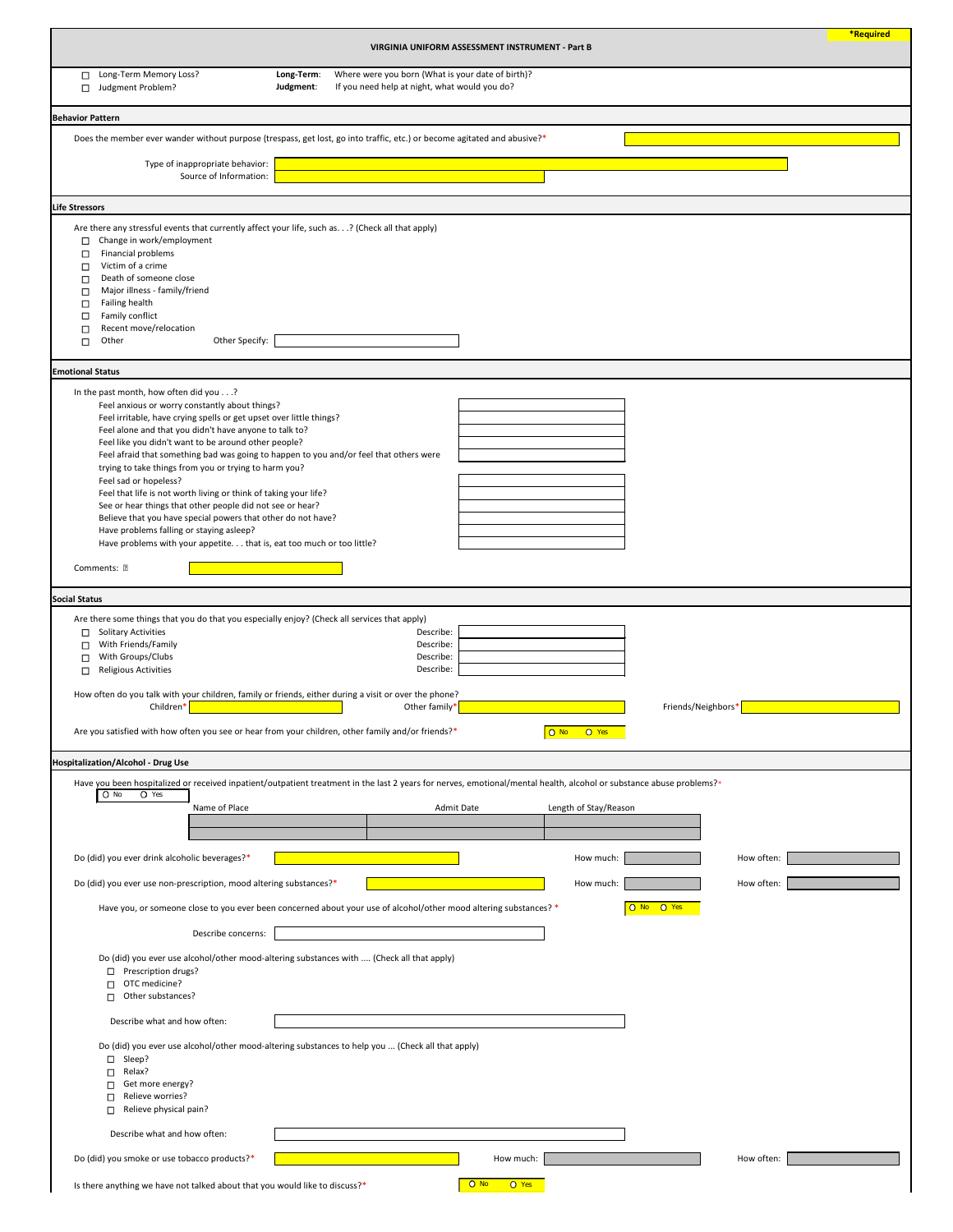|                                                                                                                                                                                                                                                                                                                                                                                                                                                                                                                                                                                                                                                                                                                                                                                                           |                         | VIRGINIA UNIFORM ASSESSMENT INSTRUMENT - Part B                                                    |                                         |                                    |                    | <b>*Required</b> |
|-----------------------------------------------------------------------------------------------------------------------------------------------------------------------------------------------------------------------------------------------------------------------------------------------------------------------------------------------------------------------------------------------------------------------------------------------------------------------------------------------------------------------------------------------------------------------------------------------------------------------------------------------------------------------------------------------------------------------------------------------------------------------------------------------------------|-------------------------|----------------------------------------------------------------------------------------------------|-----------------------------------------|------------------------------------|--------------------|------------------|
| Long-Term Memory Loss?<br>□<br>Judgment Problem?<br>$\Box$                                                                                                                                                                                                                                                                                                                                                                                                                                                                                                                                                                                                                                                                                                                                                | Long-Term:<br>Judgment: | Where were you born (What is your date of birth)?<br>If you need help at night, what would you do? |                                         |                                    |                    |                  |
| <b>Behavior Pattern</b>                                                                                                                                                                                                                                                                                                                                                                                                                                                                                                                                                                                                                                                                                                                                                                                   |                         |                                                                                                    |                                         |                                    |                    |                  |
| Does the member ever wander without purpose (trespass, get lost, go into traffic, etc.) or become agitated and abusive?*                                                                                                                                                                                                                                                                                                                                                                                                                                                                                                                                                                                                                                                                                  |                         |                                                                                                    |                                         |                                    |                    |                  |
| Type of inappropriate behavior:<br>Source of Information:                                                                                                                                                                                                                                                                                                                                                                                                                                                                                                                                                                                                                                                                                                                                                 |                         |                                                                                                    |                                         |                                    |                    |                  |
| <b>Life Stressors</b>                                                                                                                                                                                                                                                                                                                                                                                                                                                                                                                                                                                                                                                                                                                                                                                     |                         |                                                                                                    |                                         |                                    |                    |                  |
| Are there any stressful events that currently affect your life, such as.? (Check all that apply)<br>Change in work/employment<br>$\Box$<br>Financial problems<br>$\Box$<br>Victim of a crime<br>□<br>Death of someone close<br>$\Box$<br>Major illness - family/friend<br>□<br>Failing health<br>$\Box$<br>Family conflict<br>$\Box$<br>Recent move/relocation<br>$\Box$<br>Other Specify:<br>Other<br>□                                                                                                                                                                                                                                                                                                                                                                                                  |                         |                                                                                                    |                                         |                                    |                    |                  |
| <b>Emotional Status</b>                                                                                                                                                                                                                                                                                                                                                                                                                                                                                                                                                                                                                                                                                                                                                                                   |                         |                                                                                                    |                                         |                                    |                    |                  |
| In the past month, how often did you?<br>Feel anxious or worry constantly about things?<br>Feel irritable, have crying spells or get upset over little things?<br>Feel alone and that you didn't have anyone to talk to?<br>Feel like you didn't want to be around other people?<br>Feel afraid that something bad was going to happen to you and/or feel that others were<br>trying to take things from you or trying to harm you?<br>Feel sad or hopeless?<br>Feel that life is not worth living or think of taking your life?<br>See or hear things that other people did not see or hear?<br>Believe that you have special powers that other do not have?<br>Have problems falling or staying asleep?<br>Have problems with your appetite. that is, eat too much or too little?<br>Comments: <b>2</b> |                         |                                                                                                    |                                         |                                    |                    |                  |
| <b>Social Status</b><br>Are there some things that you do that you especially enjoy? (Check all services that apply)                                                                                                                                                                                                                                                                                                                                                                                                                                                                                                                                                                                                                                                                                      |                         |                                                                                                    |                                         |                                    |                    |                  |
| <b>Solitary Activities</b><br>□<br>With Friends/Family<br>$\Box$<br>With Groups/Clubs<br>□<br><b>Religious Activities</b><br>□<br>How often do you talk with your children, family or friends, either during a visit or over the phone?<br>Children*<br>Are you satisfied with how often you see or hear from your children, other family and/or friends?*                                                                                                                                                                                                                                                                                                                                                                                                                                                |                         | Describe:<br>Describe:<br>Describe:<br>Describe:<br>Other family*                                  |                                         | O Yes<br>$O$ No                    | Friends/Neighbors* |                  |
| <b>Hospitalization/Alcohol - Drug Use</b>                                                                                                                                                                                                                                                                                                                                                                                                                                                                                                                                                                                                                                                                                                                                                                 |                         |                                                                                                    |                                         |                                    |                    |                  |
| Have you been hospitalized or received inpatient/outpatient treatment in the last 2 years for nerves, emotional/mental health, alcohol or substance abuse problems?*<br>O Yes<br>$O$ No<br>Name of Place<br>Do (did) you ever drink alcoholic beverages?*                                                                                                                                                                                                                                                                                                                                                                                                                                                                                                                                                 |                         | Admit Date                                                                                         |                                         | Length of Stay/Reason<br>How much: |                    | How often:       |
| Do (did) you ever use non-prescription, mood altering substances?*                                                                                                                                                                                                                                                                                                                                                                                                                                                                                                                                                                                                                                                                                                                                        |                         |                                                                                                    |                                         | How much:                          |                    | How often:       |
| Have you, or someone close to you ever been concerned about your use of alcohol/other mood altering substances? *<br>Describe concerns:<br>Do (did) you ever use alcohol/other mood-altering substances with  (Check all that apply)<br>Prescription drugs?<br>□<br>OTC medicine?<br>Other substances?<br>П.                                                                                                                                                                                                                                                                                                                                                                                                                                                                                              |                         |                                                                                                    |                                         |                                    | O No O Yes         |                  |
| Describe what and how often:                                                                                                                                                                                                                                                                                                                                                                                                                                                                                                                                                                                                                                                                                                                                                                              |                         |                                                                                                    |                                         |                                    |                    |                  |
| Do (did) you ever use alcohol/other mood-altering substances to help you  (Check all that apply)<br>Sleep?<br>□<br>Relax?<br>$\Box$<br>Get more energy?<br>□<br>Relieve worries?<br>П<br>Relieve physical pain?<br>□                                                                                                                                                                                                                                                                                                                                                                                                                                                                                                                                                                                      |                         |                                                                                                    |                                         |                                    |                    |                  |
| Describe what and how often:                                                                                                                                                                                                                                                                                                                                                                                                                                                                                                                                                                                                                                                                                                                                                                              |                         |                                                                                                    |                                         |                                    |                    |                  |
| Do (did) you smoke or use tobacco products?*<br>Is there anything we have not talked about that you would like to discuss?*                                                                                                                                                                                                                                                                                                                                                                                                                                                                                                                                                                                                                                                                               |                         |                                                                                                    | How much:<br>O Yes<br>$\overline{O}$ No |                                    |                    | How often:       |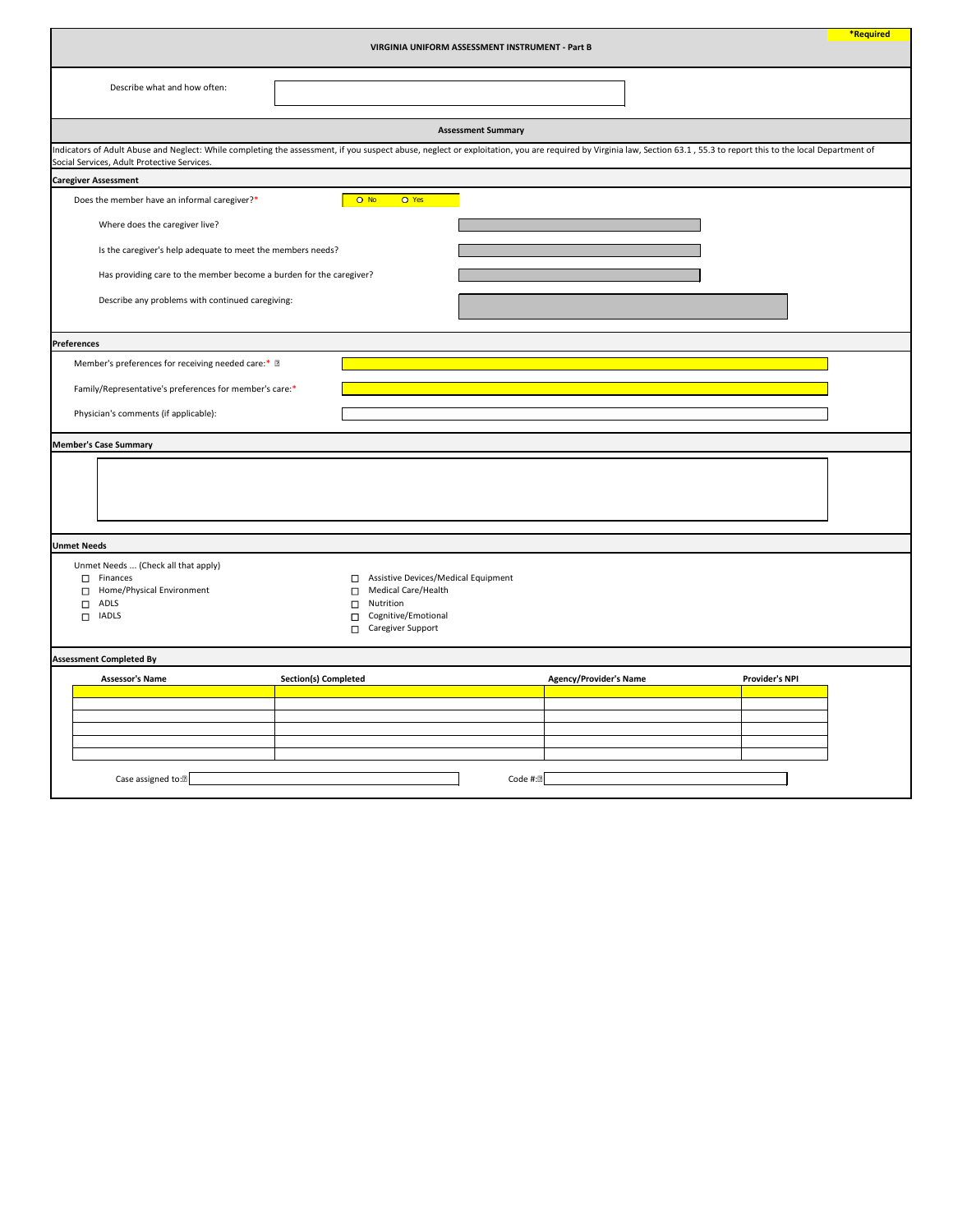|                                                                                                                                              |                                                                                                                                              | VIRGINIA UNIFORM ASSESSMENT INSTRUMENT - Part B | *Required                                                                                                                                                                                                             |  |  |  |
|----------------------------------------------------------------------------------------------------------------------------------------------|----------------------------------------------------------------------------------------------------------------------------------------------|-------------------------------------------------|-----------------------------------------------------------------------------------------------------------------------------------------------------------------------------------------------------------------------|--|--|--|
| Describe what and how often:                                                                                                                 |                                                                                                                                              |                                                 |                                                                                                                                                                                                                       |  |  |  |
|                                                                                                                                              |                                                                                                                                              | <b>Assessment Summary</b>                       |                                                                                                                                                                                                                       |  |  |  |
| Social Services, Adult Protective Services.                                                                                                  |                                                                                                                                              |                                                 | Indicators of Adult Abuse and Neglect: While completing the assessment, if you suspect abuse, neglect or exploitation, you are required by Virginia law, Section 63.1, 55.3 to report this to the local Department of |  |  |  |
| <b>Caregiver Assessment</b>                                                                                                                  |                                                                                                                                              |                                                 |                                                                                                                                                                                                                       |  |  |  |
| Does the member have an informal caregiver?*                                                                                                 | O Yes<br>$O$ No                                                                                                                              |                                                 |                                                                                                                                                                                                                       |  |  |  |
| Where does the caregiver live?                                                                                                               |                                                                                                                                              |                                                 |                                                                                                                                                                                                                       |  |  |  |
| Is the caregiver's help adequate to meet the members needs?                                                                                  |                                                                                                                                              |                                                 |                                                                                                                                                                                                                       |  |  |  |
| Has providing care to the member become a burden for the caregiver?                                                                          |                                                                                                                                              |                                                 |                                                                                                                                                                                                                       |  |  |  |
| Describe any problems with continued caregiving:                                                                                             |                                                                                                                                              |                                                 |                                                                                                                                                                                                                       |  |  |  |
| <b>Preferences</b>                                                                                                                           |                                                                                                                                              |                                                 |                                                                                                                                                                                                                       |  |  |  |
| Member's preferences for receiving needed care:* 2                                                                                           |                                                                                                                                              |                                                 |                                                                                                                                                                                                                       |  |  |  |
| Family/Representative's preferences for member's care:*                                                                                      |                                                                                                                                              |                                                 |                                                                                                                                                                                                                       |  |  |  |
| Physician's comments (if applicable):                                                                                                        |                                                                                                                                              |                                                 |                                                                                                                                                                                                                       |  |  |  |
| <b>Member's Case Summary</b>                                                                                                                 |                                                                                                                                              |                                                 |                                                                                                                                                                                                                       |  |  |  |
|                                                                                                                                              |                                                                                                                                              |                                                 |                                                                                                                                                                                                                       |  |  |  |
| <b>Unmet Needs</b>                                                                                                                           |                                                                                                                                              |                                                 |                                                                                                                                                                                                                       |  |  |  |
| Unmet Needs  (Check all that apply)<br>Finances<br>$\Box$<br>Home/Physical Environment<br>$\Box$<br>ADLS<br>$\Box$<br><b>IADLS</b><br>$\Box$ | Assistive Devices/Medical Equipment<br>□<br>Medical Care/Health<br>□<br>Nutrition<br>п<br>Cognitive/Emotional<br>п<br>Caregiver Support<br>П |                                                 |                                                                                                                                                                                                                       |  |  |  |
| <b>Assessment Completed By</b>                                                                                                               |                                                                                                                                              |                                                 |                                                                                                                                                                                                                       |  |  |  |
| <b>Assessor's Name</b>                                                                                                                       | <b>Section(s) Completed</b>                                                                                                                  | <b>Agency/Provider's Name</b>                   | <b>Provider's NPI</b>                                                                                                                                                                                                 |  |  |  |
|                                                                                                                                              |                                                                                                                                              |                                                 |                                                                                                                                                                                                                       |  |  |  |
|                                                                                                                                              |                                                                                                                                              |                                                 |                                                                                                                                                                                                                       |  |  |  |
|                                                                                                                                              |                                                                                                                                              |                                                 |                                                                                                                                                                                                                       |  |  |  |
| Case assigned to: <sup>[2]</sup>                                                                                                             |                                                                                                                                              | Code #:2                                        |                                                                                                                                                                                                                       |  |  |  |

Code #: $\boxed{\phantom{1}}$ Case assigned to:<sup>[2]</sup> Code #: TI.  $\mathbf{I}$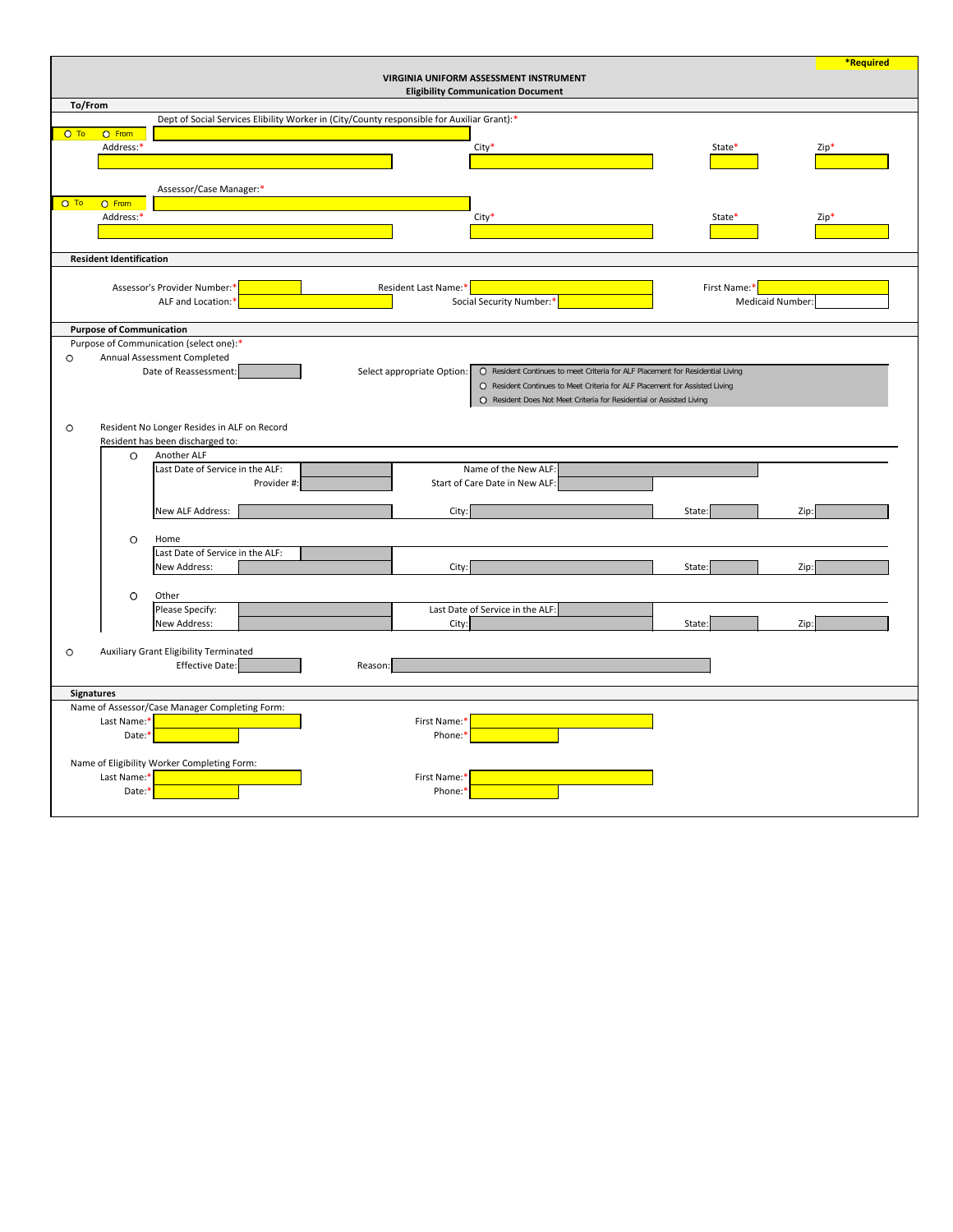|         |                                 |                                                                                                                                       | *Required |
|---------|---------------------------------|---------------------------------------------------------------------------------------------------------------------------------------|-----------|
|         |                                 | <b>VIRGINIA UNIFORM ASSESSMENT INSTRUMENT</b><br><b>Eligibility Communication Document</b>                                            |           |
| To/From |                                 |                                                                                                                                       |           |
|         |                                 | Dept of Social Services Elibility Worker in (City/County responsible for Auxiliar Grant):*                                            |           |
| $O$ To  | O From                          |                                                                                                                                       |           |
|         | Address:*                       | City*<br>State*                                                                                                                       | $Zip*$    |
|         |                                 |                                                                                                                                       |           |
|         |                                 | Assessor/Case Manager:*                                                                                                               |           |
| $O$ To  | O From                          |                                                                                                                                       |           |
|         | Address:*                       | $City*$<br>State*                                                                                                                     | $Zip*$    |
|         |                                 |                                                                                                                                       |           |
|         | <b>Resident Identification</b>  |                                                                                                                                       |           |
|         |                                 |                                                                                                                                       |           |
|         |                                 | Assessor's Provider Number:*<br>Resident Last Name:*<br>First Name:*                                                                  |           |
|         |                                 | Social Security Number:*<br><b>Medicaid Number:</b><br>ALF and Location:*                                                             |           |
|         | <b>Purpose of Communication</b> |                                                                                                                                       |           |
|         |                                 | Purpose of Communication (select one):*                                                                                               |           |
| O       |                                 | Annual Assessment Completed                                                                                                           |           |
|         |                                 | Date of Reassessment:<br>O Resident Continues to meet Criteria for ALF Placement for Residential Living<br>Select appropriate Option: |           |
|         |                                 | O Resident Continues to Meet Criteria for ALF Placement for Assisted Living                                                           |           |
|         |                                 | O Resident Does Not Meet Criteria for Residential or Assisted Living                                                                  |           |
| O       |                                 | Resident No Longer Resides in ALF on Record                                                                                           |           |
|         |                                 | Resident has been discharged to:                                                                                                      |           |
|         | O                               | Another ALF                                                                                                                           |           |
|         |                                 | Last Date of Service in the ALF:<br>Name of the New ALF:                                                                              |           |
|         |                                 | Start of Care Date in New ALF:<br>Provider #:                                                                                         |           |
|         |                                 | New ALF Address:<br>City:<br>State:                                                                                                   | Zip:      |
|         |                                 |                                                                                                                                       |           |
|         | O                               | Home                                                                                                                                  |           |
|         |                                 | Last Date of Service in the ALF:                                                                                                      |           |
|         |                                 | New Address:<br>City:<br>State:                                                                                                       | Zip:      |
|         |                                 |                                                                                                                                       |           |
|         | O                               | Other<br>Please Specify:<br>Last Date of Service in the ALF:                                                                          |           |
|         |                                 | New Address:<br>City:<br>State:                                                                                                       | Zip:      |
|         |                                 |                                                                                                                                       |           |
| O       |                                 | Auxiliary Grant Eligibility Terminated                                                                                                |           |
|         |                                 | Effective Date:<br>Reason:                                                                                                            |           |
|         | <b>Signatures</b>               |                                                                                                                                       |           |
|         |                                 | Name of Assessor/Case Manager Completing Form:                                                                                        |           |
|         | Last Name:*                     | First Name:*                                                                                                                          |           |
|         | Date:*                          | Phone:*                                                                                                                               |           |
|         |                                 | Name of Eligibility Worker Completing Form:                                                                                           |           |
|         | Last Name:*                     | First Name:*                                                                                                                          |           |
|         | Date:*                          | Phone:*                                                                                                                               |           |
|         |                                 |                                                                                                                                       |           |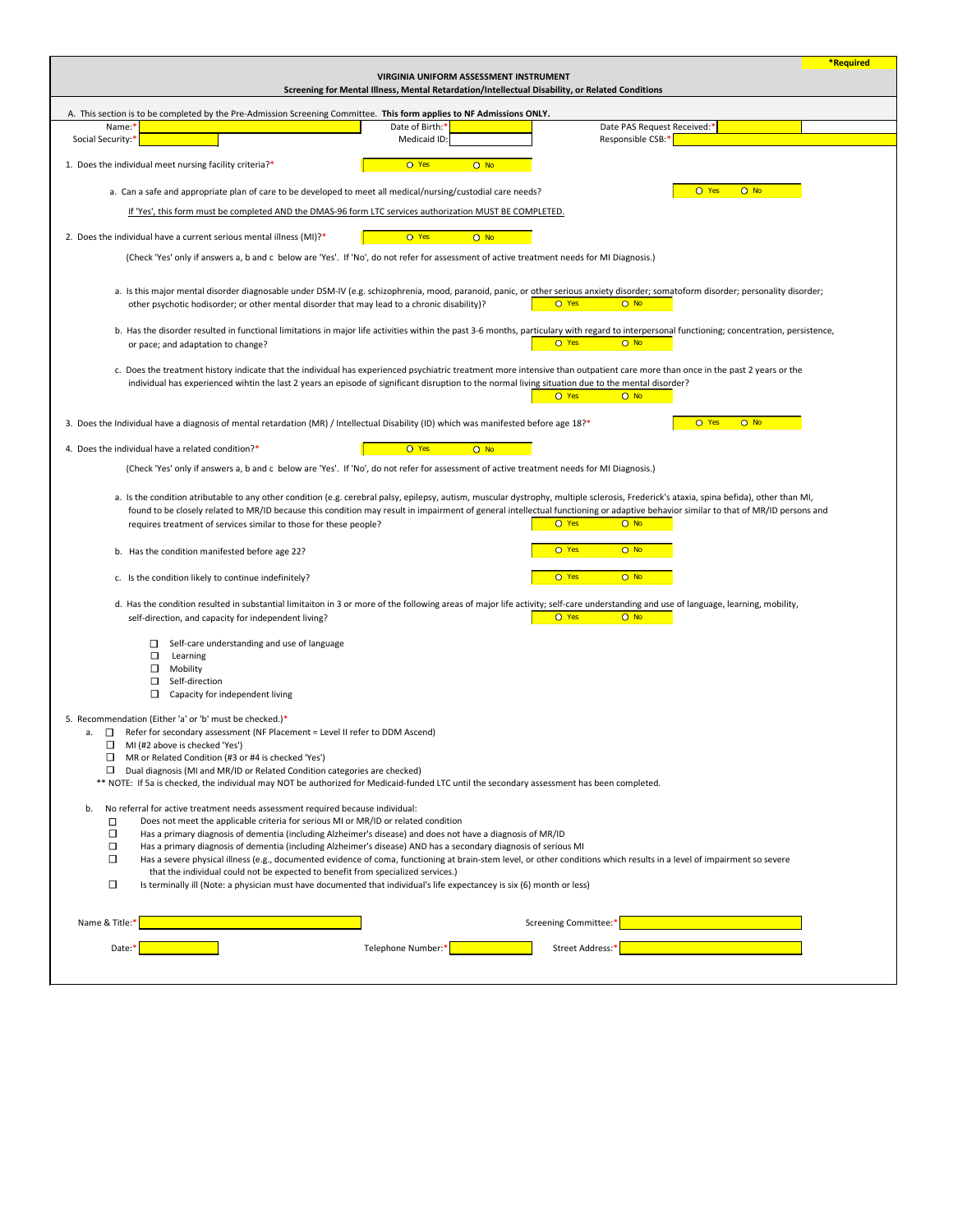|                                                                                                                                                                                                                                                                                                                                                                                |                                                                                                 |                   |                             | <b>*Required</b> |
|--------------------------------------------------------------------------------------------------------------------------------------------------------------------------------------------------------------------------------------------------------------------------------------------------------------------------------------------------------------------------------|-------------------------------------------------------------------------------------------------|-------------------|-----------------------------|------------------|
|                                                                                                                                                                                                                                                                                                                                                                                | <b>VIRGINIA UNIFORM ASSESSMENT INSTRUMENT</b>                                                   |                   |                             |                  |
|                                                                                                                                                                                                                                                                                                                                                                                | Screening for Mental Illness, Mental Retardation/Intellectual Disability, or Related Conditions |                   |                             |                  |
| A. This section is to be completed by the Pre-Admission Screening Committee. This form applies to NF Admissions ONLY.                                                                                                                                                                                                                                                          |                                                                                                 |                   |                             |                  |
| Name:*                                                                                                                                                                                                                                                                                                                                                                         | Date of Birth:*                                                                                 |                   | Date PAS Request Received:* |                  |
| Social Security:*                                                                                                                                                                                                                                                                                                                                                              | Medicaid ID:                                                                                    | Responsible CSB:* |                             |                  |
| 1. Does the individual meet nursing facility criteria?*                                                                                                                                                                                                                                                                                                                        | O Yes<br>$O$ No                                                                                 |                   |                             |                  |
| a. Can a safe and appropriate plan of care to be developed to meet all medical/nursing/custodial care needs?                                                                                                                                                                                                                                                                   |                                                                                                 |                   | O Yes<br>$O$ No             |                  |
| If 'Yes', this form must be completed AND the DMAS-96 form LTC services authorization MUST BE COMPLETED.                                                                                                                                                                                                                                                                       |                                                                                                 |                   |                             |                  |
| 2. Does the individual have a current serious mental illness (MI)?*                                                                                                                                                                                                                                                                                                            | O Yes<br>$O$ No                                                                                 |                   |                             |                  |
| (Check 'Yes' only if answers a, b and c below are 'Yes'. If 'No', do not refer for assessment of active treatment needs for MI Diagnosis.)                                                                                                                                                                                                                                     |                                                                                                 |                   |                             |                  |
| a. Is this major mental disorder diagnosable under DSM-IV (e.g. schizophrenia, mood, paranoid, panic, or other serious anxiety disorder; somatoform disorder; personality disorder;<br>other psychotic hodisorder; or other mental disorder that may lead to a chronic disability)?                                                                                            |                                                                                                 | O Yes<br>$O$ No   |                             |                  |
| b. Has the disorder resulted in functional limitations in major life activities within the past 3-6 months, particulary with regard to interpersonal functioning; concentration, persistence,<br>or pace; and adaptation to change?                                                                                                                                            |                                                                                                 | O Yes<br>$O$ No   |                             |                  |
| c. Does the treatment history indicate that the individual has experienced psychiatric treatment more intensive than outpatient care more than once in the past 2 years or the<br>individual has experienced wihtin the last 2 years an episode of significant disruption to the normal living situation due to the mental disorder?                                           |                                                                                                 | O Yes<br>$O$ No   |                             |                  |
| 3. Does the Individual have a diagnosis of mental retardation (MR) / Intellectual Disability (ID) which was manifested before age 18?*                                                                                                                                                                                                                                         |                                                                                                 |                   | O Yes<br>$O$ No             |                  |
| 4. Does the individual have a related condition?*                                                                                                                                                                                                                                                                                                                              | O Yes<br>$O$ No                                                                                 |                   |                             |                  |
| (Check 'Yes' only if answers a, b and c below are 'Yes'. If 'No', do not refer for assessment of active treatment needs for MI Diagnosis.)                                                                                                                                                                                                                                     |                                                                                                 |                   |                             |                  |
| a. Is the condition atributable to any other condition (e.g. cerebral palsy, epilepsy, autism, muscular dystrophy, multiple sclerosis, Frederick's ataxia, spina befida), other than MI,<br>found to be closely related to MR/ID because this condition may result in impairment of general intellectual functioning or adaptive behavior similar to that of MR/ID persons and |                                                                                                 |                   |                             |                  |
| requires treatment of services similar to those for these people?                                                                                                                                                                                                                                                                                                              |                                                                                                 | O Yes<br>$O$ No   |                             |                  |
| b. Has the condition manifested before age 22?                                                                                                                                                                                                                                                                                                                                 |                                                                                                 | $O$ No<br>O Yes   |                             |                  |
| c. Is the condition likely to continue indefinitely?                                                                                                                                                                                                                                                                                                                           |                                                                                                 | O Yes<br>$O$ No   |                             |                  |
| d. Has the condition resulted in substantial limitaiton in 3 or more of the following areas of major life activity; self-care understanding and use of language, learning, mobility,                                                                                                                                                                                           |                                                                                                 |                   |                             |                  |
| self-direction, and capacity for independent living?                                                                                                                                                                                                                                                                                                                           |                                                                                                 | O Yes<br>$O$ No   |                             |                  |
| Self-care understanding and use of language<br>$\Box$<br>$\Box$                                                                                                                                                                                                                                                                                                                |                                                                                                 |                   |                             |                  |
| Learning<br>Mobility                                                                                                                                                                                                                                                                                                                                                           |                                                                                                 |                   |                             |                  |
| Self-direction<br>⊔                                                                                                                                                                                                                                                                                                                                                            |                                                                                                 |                   |                             |                  |
| Capacity for independent living                                                                                                                                                                                                                                                                                                                                                |                                                                                                 |                   |                             |                  |
|                                                                                                                                                                                                                                                                                                                                                                                |                                                                                                 |                   |                             |                  |
| 5. Recommendation (Either 'a' or 'b' must be checked.)*<br>Refer for secondary assessment (NF Placement = Level II refer to DDM Ascend)<br>$\Box$<br>а.                                                                                                                                                                                                                        |                                                                                                 |                   |                             |                  |
| □<br>MI (#2 above is checked 'Yes')                                                                                                                                                                                                                                                                                                                                            |                                                                                                 |                   |                             |                  |
| MR or Related Condition (#3 or #4 is checked 'Yes')<br>$\Box$                                                                                                                                                                                                                                                                                                                  |                                                                                                 |                   |                             |                  |
| Dual diagnosis (MI and MR/ID or Related Condition categories are checked)<br>□                                                                                                                                                                                                                                                                                                 |                                                                                                 |                   |                             |                  |
| ** NOTE: If 5a is checked, the individual may NOT be authorized for Medicaid-funded LTC until the secondary assessment has been completed.                                                                                                                                                                                                                                     |                                                                                                 |                   |                             |                  |

| b.             |        | No referral for active treatment needs assessment required because individual:                                                                                                                                                                              |  |  |  |  |  |  |
|----------------|--------|-------------------------------------------------------------------------------------------------------------------------------------------------------------------------------------------------------------------------------------------------------------|--|--|--|--|--|--|
|                |        | Does not meet the applicable criteria for serious MI or MR/ID or related condition                                                                                                                                                                          |  |  |  |  |  |  |
|                | $\Box$ | Has a primary diagnosis of dementia (including Alzheimer's disease) and does not have a diagnosis of MR/ID                                                                                                                                                  |  |  |  |  |  |  |
|                | $\Box$ | Has a primary diagnosis of dementia (including Alzheimer's disease) AND has a secondary diagnosis of serious MI                                                                                                                                             |  |  |  |  |  |  |
|                | $\Box$ | Has a severe physical illness (e.g., documented evidence of coma, functioning at brain-stem level, or other conditions which results in a level of impairment so severe<br>that the individual could not be expected to benefit from specialized services.) |  |  |  |  |  |  |
|                | $\Box$ | Is terminally ill (Note: a physician must have documented that individual's life expectancey is six (6) month or less)                                                                                                                                      |  |  |  |  |  |  |
| Name & Title:* |        | Screening Committee:*                                                                                                                                                                                                                                       |  |  |  |  |  |  |
|                | Date:* | Street Address:*<br>Telephone Number:*                                                                                                                                                                                                                      |  |  |  |  |  |  |
|                |        |                                                                                                                                                                                                                                                             |  |  |  |  |  |  |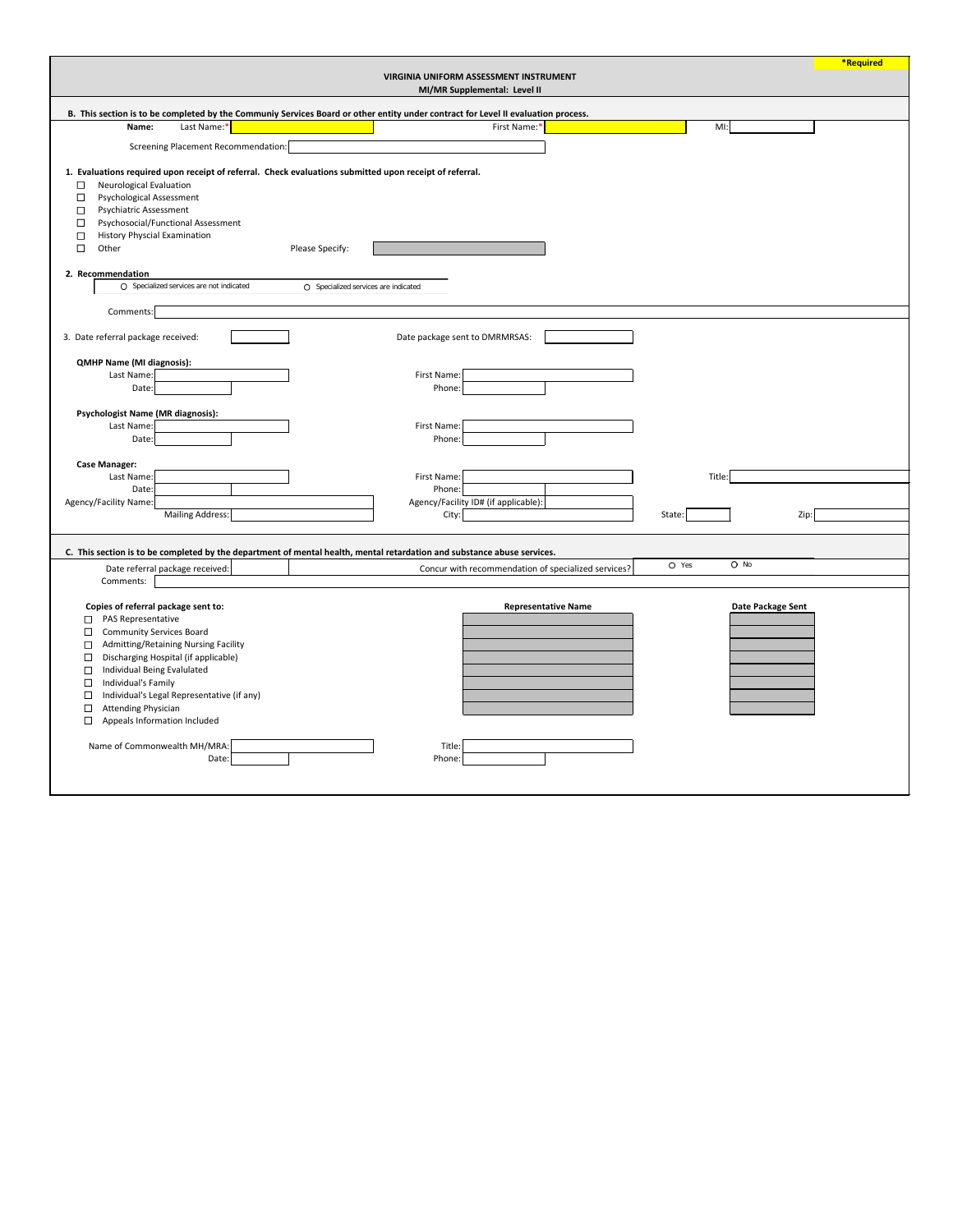|                                                                                                                                                                                                                                                                                                                                                                        |                                      |                                                                        |                   | *Required |
|------------------------------------------------------------------------------------------------------------------------------------------------------------------------------------------------------------------------------------------------------------------------------------------------------------------------------------------------------------------------|--------------------------------------|------------------------------------------------------------------------|-------------------|-----------|
|                                                                                                                                                                                                                                                                                                                                                                        |                                      | VIRGINIA UNIFORM ASSESSMENT INSTRUMENT<br>MI/MR Supplemental: Level II |                   |           |
|                                                                                                                                                                                                                                                                                                                                                                        |                                      |                                                                        |                   |           |
| B. This section is to be completed by the Communiy Services Board or other entity under contract for Level II evaluation process.                                                                                                                                                                                                                                      |                                      |                                                                        |                   |           |
| Last Name:*<br>Name:                                                                                                                                                                                                                                                                                                                                                   |                                      | First Name:*                                                           | $M!$ :            |           |
| <b>Screening Placement Recommendation:</b>                                                                                                                                                                                                                                                                                                                             |                                      |                                                                        |                   |           |
| 1. Evaluations required upon receipt of referral. Check evaluations submitted upon receipt of referral.<br>Neurological Evaluation<br>$\Box$<br>Psychological Assessment<br>$\Box$<br><b>Psychiatric Assessment</b><br>$\Box$<br>Psychosocial/Functional Assessment<br>$\Box$<br><b>History Physcial Examination</b><br>$\Box$<br>Other<br>$\Box$<br>2. Recommendation | Please Specify:                      |                                                                        |                   |           |
| O Specialized services are not indicated                                                                                                                                                                                                                                                                                                                               | O Specialized services are indicated |                                                                        |                   |           |
|                                                                                                                                                                                                                                                                                                                                                                        |                                      |                                                                        |                   |           |
| Comments:                                                                                                                                                                                                                                                                                                                                                              |                                      |                                                                        |                   |           |
|                                                                                                                                                                                                                                                                                                                                                                        |                                      |                                                                        |                   |           |
| 3. Date referral package received:                                                                                                                                                                                                                                                                                                                                     | Date package sent to DMRMRSAS:       |                                                                        |                   |           |
| <b>QMHP Name (MI diagnosis):</b>                                                                                                                                                                                                                                                                                                                                       |                                      |                                                                        |                   |           |
| Last Name:                                                                                                                                                                                                                                                                                                                                                             | First Name:                          |                                                                        |                   |           |
| Date:                                                                                                                                                                                                                                                                                                                                                                  | Phone:                               |                                                                        |                   |           |
|                                                                                                                                                                                                                                                                                                                                                                        |                                      |                                                                        |                   |           |
| <b>Psychologist Name (MR diagnosis):</b>                                                                                                                                                                                                                                                                                                                               |                                      |                                                                        |                   |           |
| Last Name:                                                                                                                                                                                                                                                                                                                                                             | First Name:                          |                                                                        |                   |           |
| Date:                                                                                                                                                                                                                                                                                                                                                                  | Phone:                               |                                                                        |                   |           |
| <b>Case Manager:</b>                                                                                                                                                                                                                                                                                                                                                   |                                      |                                                                        |                   |           |
| Last Name:                                                                                                                                                                                                                                                                                                                                                             | First Name:                          |                                                                        | Title:            |           |
| Date:                                                                                                                                                                                                                                                                                                                                                                  | Phone:                               |                                                                        |                   |           |
| Agency/Facility Name:                                                                                                                                                                                                                                                                                                                                                  |                                      | Agency/Facility ID# (if applicable):                                   |                   |           |
| <b>Mailing Address:</b>                                                                                                                                                                                                                                                                                                                                                | City:                                |                                                                        | State:<br>Zip:    |           |
|                                                                                                                                                                                                                                                                                                                                                                        |                                      |                                                                        |                   |           |
|                                                                                                                                                                                                                                                                                                                                                                        |                                      |                                                                        |                   |           |
| C. This section is to be completed by the department of mental health, mental retardation and substance abuse services.                                                                                                                                                                                                                                                |                                      |                                                                        |                   |           |
| Date referral package received:                                                                                                                                                                                                                                                                                                                                        |                                      | Concur with recommendation of specialized services?                    | $O$ No<br>O Yes   |           |
| Comments:                                                                                                                                                                                                                                                                                                                                                              |                                      |                                                                        |                   |           |
| Copies of referral package sent to:<br>PAS Representative<br>□                                                                                                                                                                                                                                                                                                         |                                      | <b>Representative Name</b>                                             | Date Package Sent |           |
| <b>Community Services Board</b><br>□                                                                                                                                                                                                                                                                                                                                   |                                      |                                                                        |                   |           |
| Admitting/Retaining Nursing Facility<br>$\Box$                                                                                                                                                                                                                                                                                                                         |                                      |                                                                        |                   |           |
| Discharging Hospital (if applicable)<br>□                                                                                                                                                                                                                                                                                                                              |                                      |                                                                        |                   |           |
| Individual Being Evalulated<br>□                                                                                                                                                                                                                                                                                                                                       |                                      |                                                                        |                   |           |
| Individual's Family<br>$\Box$                                                                                                                                                                                                                                                                                                                                          |                                      |                                                                        |                   |           |
| Individual's Legal Representative (if any)<br>□                                                                                                                                                                                                                                                                                                                        |                                      |                                                                        |                   |           |
| <b>Attending Physician</b><br>□                                                                                                                                                                                                                                                                                                                                        |                                      |                                                                        |                   |           |
| $\Box$<br>Appeals Information Included                                                                                                                                                                                                                                                                                                                                 |                                      |                                                                        |                   |           |
|                                                                                                                                                                                                                                                                                                                                                                        |                                      |                                                                        |                   |           |
| Name of Commonwealth MH/MRA:                                                                                                                                                                                                                                                                                                                                           | Title:                               |                                                                        |                   |           |
| Date:                                                                                                                                                                                                                                                                                                                                                                  | Phone:                               |                                                                        |                   |           |
|                                                                                                                                                                                                                                                                                                                                                                        |                                      |                                                                        |                   |           |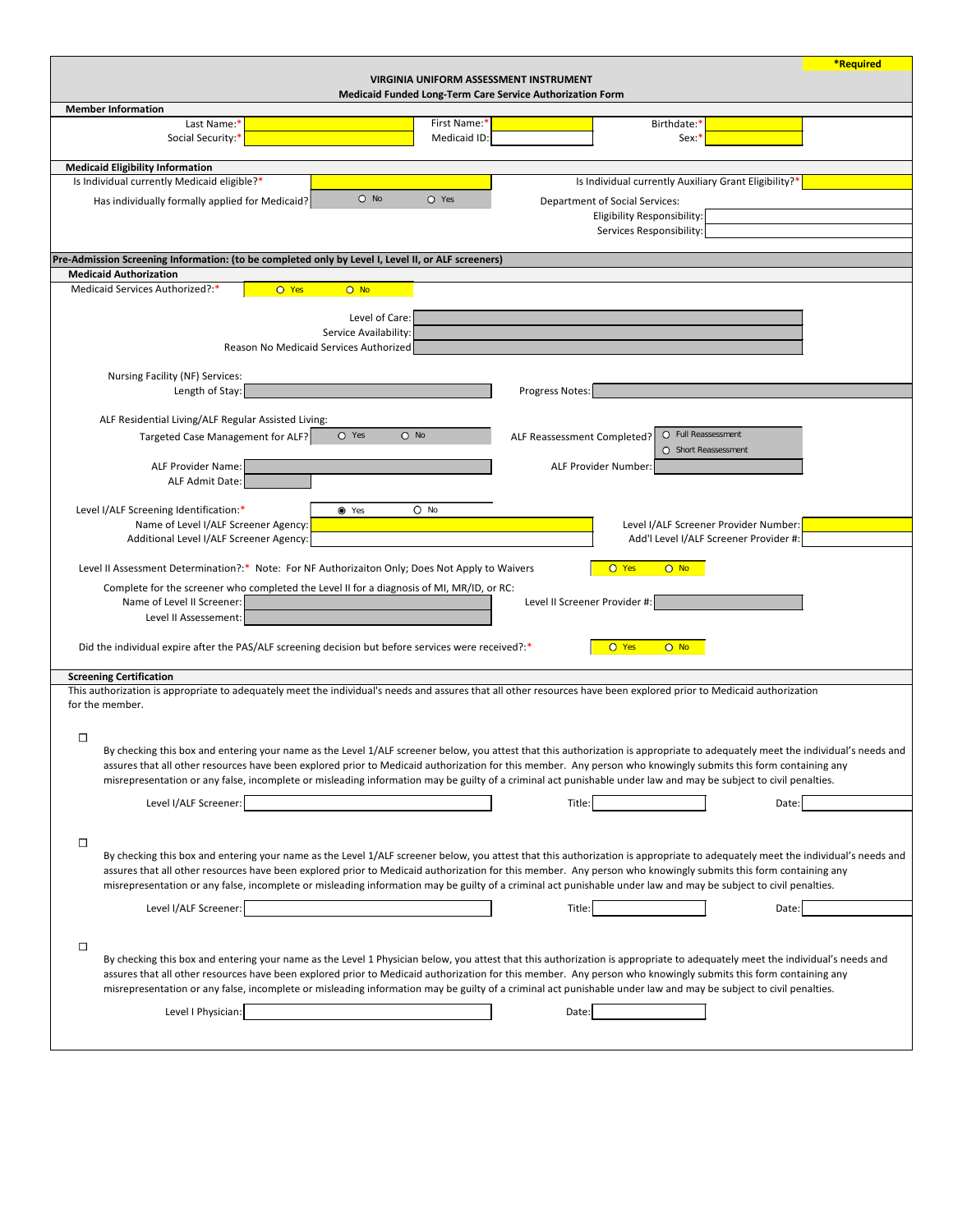| Level I/ALF Screener:                                                                                                                                                                                                                                                                                                                                                                                                                                                                                             |  | Title: | Date: |  |  |  |  |
|-------------------------------------------------------------------------------------------------------------------------------------------------------------------------------------------------------------------------------------------------------------------------------------------------------------------------------------------------------------------------------------------------------------------------------------------------------------------------------------------------------------------|--|--------|-------|--|--|--|--|
|                                                                                                                                                                                                                                                                                                                                                                                                                                                                                                                   |  |        |       |  |  |  |  |
|                                                                                                                                                                                                                                                                                                                                                                                                                                                                                                                   |  |        |       |  |  |  |  |
| By checking this box and entering your name as the Level 1 Physician below, you attest that this authorization is appropriate to adequately meet the individual's needs and<br>assures that all other resources have been explored prior to Medicaid authorization for this member. Any person who knowingly submits this form containing any<br>misrepresentation or any false, incomplete or misleading information may be guilty of a criminal act punishable under law and may be subject to civil penalties. |  |        |       |  |  |  |  |
| Level I Physician:                                                                                                                                                                                                                                                                                                                                                                                                                                                                                                |  | Date:  |       |  |  |  |  |
|                                                                                                                                                                                                                                                                                                                                                                                                                                                                                                                   |  |        |       |  |  |  |  |

|                                                                                                                                                                                                       |              |                                                                  |                                                       | <b>*Required</b> |
|-------------------------------------------------------------------------------------------------------------------------------------------------------------------------------------------------------|--------------|------------------------------------------------------------------|-------------------------------------------------------|------------------|
|                                                                                                                                                                                                       |              | <b>VIRGINIA UNIFORM ASSESSMENT INSTRUMENT</b>                    |                                                       |                  |
|                                                                                                                                                                                                       |              | <b>Medicaid Funded Long-Term Care Service Authorization Form</b> |                                                       |                  |
| <b>Member Information</b><br>Last Name:*                                                                                                                                                              | First Name:* |                                                                  |                                                       |                  |
| Social Security:*                                                                                                                                                                                     | Medicaid ID: |                                                                  | Birthdate: <sup>*</sup><br>Sex:                       |                  |
|                                                                                                                                                                                                       |              |                                                                  |                                                       |                  |
| <b>Medicaid Eligibility Information</b>                                                                                                                                                               |              |                                                                  |                                                       |                  |
| Is Individual currently Medicaid eligible?*                                                                                                                                                           |              |                                                                  | Is Individual currently Auxiliary Grant Eligibility?* |                  |
| $O$ No<br>Has individually formally applied for Medicaid?                                                                                                                                             | O Yes        | <b>Department of Social Services:</b>                            |                                                       |                  |
|                                                                                                                                                                                                       |              | <b>Eligibility Responsibility:</b>                               |                                                       |                  |
|                                                                                                                                                                                                       |              | Services Responsibility:                                         |                                                       |                  |
| Pre-Admission Screening Information: (to be completed only by Level I, Level II, or ALF screeners)                                                                                                    |              |                                                                  |                                                       |                  |
| <b>Medicaid Authorization</b>                                                                                                                                                                         |              |                                                                  |                                                       |                  |
| Medicaid Services Authorized?:*<br>$O$ No<br>O Yes                                                                                                                                                    |              |                                                                  |                                                       |                  |
|                                                                                                                                                                                                       |              |                                                                  |                                                       |                  |
| Level of Care:                                                                                                                                                                                        |              |                                                                  |                                                       |                  |
| Service Availability:                                                                                                                                                                                 |              |                                                                  |                                                       |                  |
| Reason No Medicaid Services Authorized                                                                                                                                                                |              |                                                                  |                                                       |                  |
| Nursing Facility (NF) Services:                                                                                                                                                                       |              |                                                                  |                                                       |                  |
| Length of Stay:                                                                                                                                                                                       |              | Progress Notes:                                                  |                                                       |                  |
|                                                                                                                                                                                                       |              |                                                                  |                                                       |                  |
| ALF Residential Living/ALF Regular Assisted Living:                                                                                                                                                   |              |                                                                  |                                                       |                  |
| $O$ No<br>O Yes<br>Targeted Case Management for ALF?                                                                                                                                                  |              | ALF Reassessment Completed?                                      | $\circ$<br>Full Reassessment                          |                  |
| <b>ALF Provider Name:</b>                                                                                                                                                                             |              | ALF Provider Number:                                             | O Short Reassessment                                  |                  |
| ALF Admit Date:                                                                                                                                                                                       |              |                                                                  |                                                       |                  |
|                                                                                                                                                                                                       |              |                                                                  |                                                       |                  |
| Level I/ALF Screening Identification:*<br>● Yes                                                                                                                                                       | O No         |                                                                  |                                                       |                  |
| Name of Level I/ALF Screener Agency:                                                                                                                                                                  |              |                                                                  | Level I/ALF Screener Provider Number:                 |                  |
| Additional Level I/ALF Screener Agency:                                                                                                                                                               |              |                                                                  | Add'l Level I/ALF Screener Provider #:                |                  |
| Level II Assessment Determination?:* Note: For NF Authorizaiton Only; Does Not Apply to Waivers                                                                                                       |              | O Yes                                                            | $O$ No                                                |                  |
| Complete for the screener who completed the Level II for a diagnosis of MI, MR/ID, or RC:                                                                                                             |              |                                                                  |                                                       |                  |
| Name of Level II Screener:                                                                                                                                                                            |              | Level II Screener Provider #:                                    |                                                       |                  |
| Level II Assessement:                                                                                                                                                                                 |              |                                                                  |                                                       |                  |
|                                                                                                                                                                                                       |              |                                                                  |                                                       |                  |
| Did the individual expire after the PAS/ALF screening decision but before services were received?:*                                                                                                   |              | $O$ Yes                                                          | $O$ No                                                |                  |
|                                                                                                                                                                                                       |              |                                                                  |                                                       |                  |
| <b>Screening Certification</b><br>This authorization is appropriate to adequately meet the individual's needs and assures that all other resources have been explored prior to Medicaid authorization |              |                                                                  |                                                       |                  |
| for the member.                                                                                                                                                                                       |              |                                                                  |                                                       |                  |
|                                                                                                                                                                                                       |              |                                                                  |                                                       |                  |
| $\Box$                                                                                                                                                                                                |              |                                                                  |                                                       |                  |
| By checking this box and entering your name as the Level 1/ALF screener below, you attest that this authorization is appropriate to adequately meet the individual's needs and                        |              |                                                                  |                                                       |                  |
| assures that all other resources have been explored prior to Medicaid authorization for this member. Any person who knowingly submits this form containing any                                        |              |                                                                  |                                                       |                  |
| misrepresentation or any false, incomplete or misleading information may be guilty of a criminal act punishable under law and may be subject to civil penalties.                                      |              |                                                                  |                                                       |                  |
| Level I/ALF Screener:                                                                                                                                                                                 |              | Title:                                                           | Date:                                                 |                  |
|                                                                                                                                                                                                       |              |                                                                  |                                                       |                  |
| □                                                                                                                                                                                                     |              |                                                                  |                                                       |                  |
| By checking this box and entering your name as the Level 1/ALF screener below, you attest that this authorization is appropriate to adequately meet the individual's needs and                        |              |                                                                  |                                                       |                  |
| assures that all other resources have been explored prior to Medicaid authorization for this member. Any person who knowingly submits this form containing any                                        |              |                                                                  |                                                       |                  |
| misrepresentation or any false, incomplete or misleading information may be guilty of a criminal act punishable under law and may be subject to civil penalties.                                      |              |                                                                  |                                                       |                  |
| Lovel <i>LALE</i> Screener:                                                                                                                                                                           |              | Tithor                                                           | Data:                                                 |                  |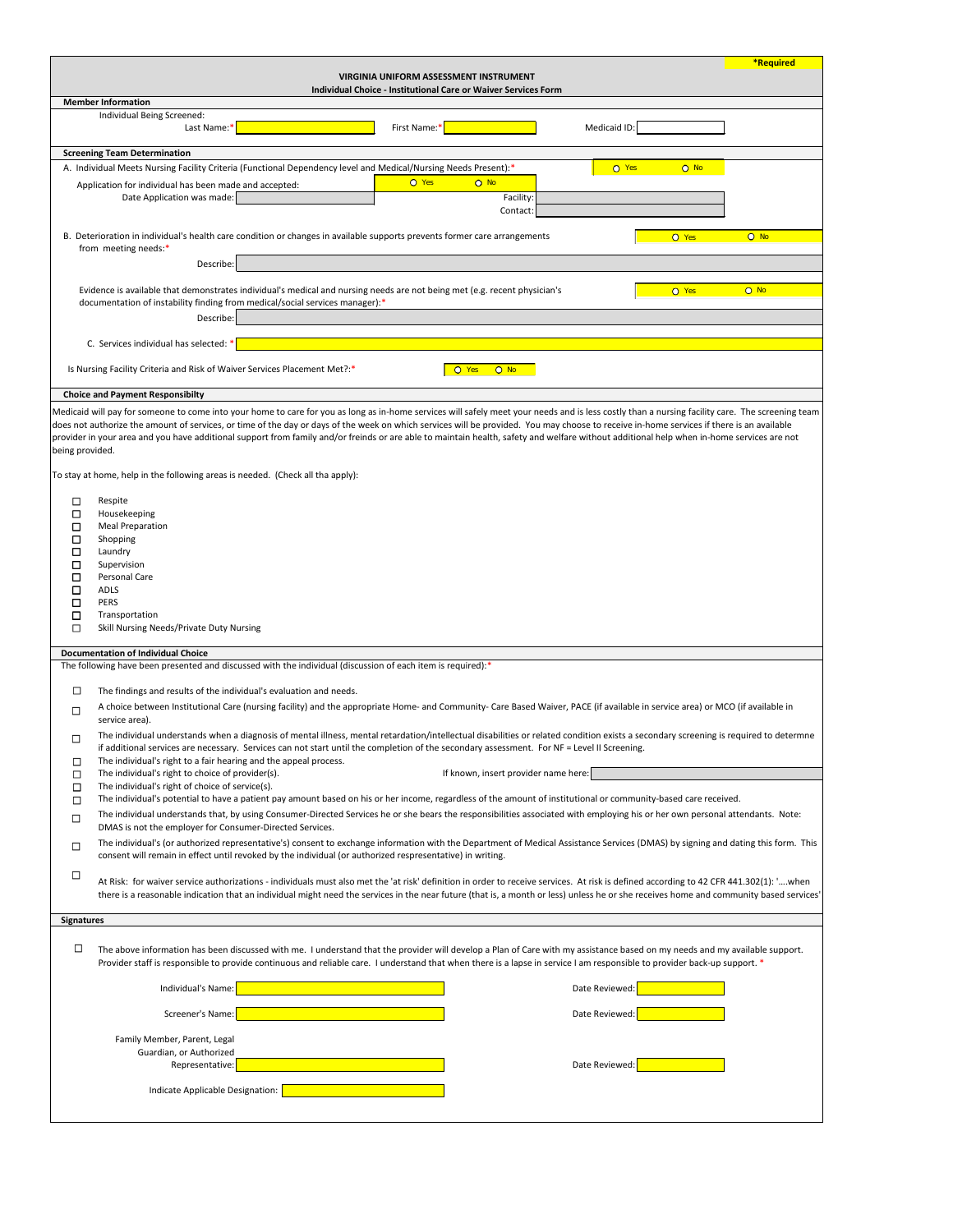|                                                                                                                                                                                                                                                                                                                                                                                                           | <b>*Required</b> |  |  |  |  |  |
|-----------------------------------------------------------------------------------------------------------------------------------------------------------------------------------------------------------------------------------------------------------------------------------------------------------------------------------------------------------------------------------------------------------|------------------|--|--|--|--|--|
| <b>VIRGINIA UNIFORM ASSESSMENT INSTRUMENT</b><br><b>Individual Choice - Institutional Care or Waiver Services Form</b>                                                                                                                                                                                                                                                                                    |                  |  |  |  |  |  |
| <b>Member Information</b>                                                                                                                                                                                                                                                                                                                                                                                 |                  |  |  |  |  |  |
| Individual Being Screened:<br>Last Name:*<br>First Name:*<br>Medicaid ID:                                                                                                                                                                                                                                                                                                                                 |                  |  |  |  |  |  |
| <b>Screening Team Determination</b>                                                                                                                                                                                                                                                                                                                                                                       |                  |  |  |  |  |  |
| A. Individual Meets Nursing Facility Criteria (Functional Dependency level and Medical/Nursing Needs Present):*<br>O Yes                                                                                                                                                                                                                                                                                  | $O$ No           |  |  |  |  |  |
| O Yes<br>$O$ No                                                                                                                                                                                                                                                                                                                                                                                           |                  |  |  |  |  |  |
| Application for individual has been made and accepted:<br>Date Application was made:<br>Facility:                                                                                                                                                                                                                                                                                                         |                  |  |  |  |  |  |
| Contact:                                                                                                                                                                                                                                                                                                                                                                                                  |                  |  |  |  |  |  |
| B. Deterioration in individual's health care condition or changes in available supports prevents former care arrangements                                                                                                                                                                                                                                                                                 |                  |  |  |  |  |  |
| O Yes<br>from meeting needs:*                                                                                                                                                                                                                                                                                                                                                                             | $O$ No           |  |  |  |  |  |
| Describe:                                                                                                                                                                                                                                                                                                                                                                                                 |                  |  |  |  |  |  |
|                                                                                                                                                                                                                                                                                                                                                                                                           |                  |  |  |  |  |  |
| Evidence is available that demonstrates individual's medical and nursing needs are not being met (e.g. recent physician's<br>$O$ No<br>O Yes<br>documentation of instability finding from medical/social services manager):*                                                                                                                                                                              |                  |  |  |  |  |  |
| Describe:                                                                                                                                                                                                                                                                                                                                                                                                 |                  |  |  |  |  |  |
| C. Services individual has selected: *                                                                                                                                                                                                                                                                                                                                                                    |                  |  |  |  |  |  |
| Is Nursing Facility Criteria and Risk of Waiver Services Placement Met?:*<br>O Yes<br>$O$ No                                                                                                                                                                                                                                                                                                              |                  |  |  |  |  |  |
| <b>Choice and Payment Responsibilty</b>                                                                                                                                                                                                                                                                                                                                                                   |                  |  |  |  |  |  |
| Medicaid will pay for someone to come into your home to care for you as long as in-home services will safely meet your needs and is less costly than a nursing facility care. The screening team                                                                                                                                                                                                          |                  |  |  |  |  |  |
| does not authorize the amount of services, or time of the day or days of the week on which services will be provided. You may choose to receive in-home services if there is an available<br>provider in your area and you have additional support from family and/or freinds or are able to maintain health, safety and welfare without additional help when in-home services are not<br>being provided. |                  |  |  |  |  |  |
| To stay at home, help in the following areas is needed. (Check all tha apply):                                                                                                                                                                                                                                                                                                                            |                  |  |  |  |  |  |
|                                                                                                                                                                                                                                                                                                                                                                                                           |                  |  |  |  |  |  |
| Respite<br>□<br>$\Box$<br>Housekeeping                                                                                                                                                                                                                                                                                                                                                                    |                  |  |  |  |  |  |
| <b>Meal Preparation</b><br>□                                                                                                                                                                                                                                                                                                                                                                              |                  |  |  |  |  |  |
| □<br>Shopping                                                                                                                                                                                                                                                                                                                                                                                             |                  |  |  |  |  |  |
| □<br>Laundry<br>Supervision                                                                                                                                                                                                                                                                                                                                                                               |                  |  |  |  |  |  |
| □<br>Personal Care<br>□                                                                                                                                                                                                                                                                                                                                                                                   |                  |  |  |  |  |  |
| ADLS<br>□                                                                                                                                                                                                                                                                                                                                                                                                 |                  |  |  |  |  |  |
| □<br><b>PERS</b>                                                                                                                                                                                                                                                                                                                                                                                          |                  |  |  |  |  |  |
| □<br>Transportation                                                                                                                                                                                                                                                                                                                                                                                       |                  |  |  |  |  |  |
| Skill Nursing Needs/Private Duty Nursing<br>□                                                                                                                                                                                                                                                                                                                                                             |                  |  |  |  |  |  |
| <b>Documentation of Individual Choice</b><br>The following have been presented and discussed with the individual (discussion of each item is required):*                                                                                                                                                                                                                                                  |                  |  |  |  |  |  |
|                                                                                                                                                                                                                                                                                                                                                                                                           |                  |  |  |  |  |  |
| $\Box$<br>The findings and results of the individual's evaluation and needs.                                                                                                                                                                                                                                                                                                                              |                  |  |  |  |  |  |
| A choice between Institutional Care (nursing facility) and the appropriate Home- and Community- Care Based Waiver, PACE (if available in service area) or MCO (if available in<br>$\Box$<br>service area).                                                                                                                                                                                                |                  |  |  |  |  |  |
| The individual understands when a diagnosis of mental illness, mental retardation/intellectual disabilities or related condition exists a secondary screening is required to determne<br>$\Box$                                                                                                                                                                                                           |                  |  |  |  |  |  |
| if additional services are necessary. Services can not start until the completion of the secondary assessment. For NF = Level II Screening.                                                                                                                                                                                                                                                               |                  |  |  |  |  |  |
| The individual's right to a fair hearing and the appeal process.<br>□                                                                                                                                                                                                                                                                                                                                     |                  |  |  |  |  |  |
| If known, insert provider name here:<br>The individual's right to choice of provider(s).<br>□                                                                                                                                                                                                                                                                                                             |                  |  |  |  |  |  |
| The individual's right of choice of service(s).<br>$\Box$<br>The individual's potential to have a patient pay amount based on his or her income, regardless of the amount of institutional or community-based care received.<br>$\Box$                                                                                                                                                                    |                  |  |  |  |  |  |
| The individual understands that, by using Consumer-Directed Services he or she bears the responsibilities associated with employing his or her own personal attendants. Note:<br>$\Box$                                                                                                                                                                                                                   |                  |  |  |  |  |  |
| DMAS is not the employer for Consumer-Directed Services.                                                                                                                                                                                                                                                                                                                                                  |                  |  |  |  |  |  |
| The individual's (or authorized representative's) consent to exchange information with the Department of Medical Assistance Services (DMAS) by signing and dating this form. This<br>$\Box$<br>consent will remain in effect until revoked by the individual (or authorized respresentative) in writing.                                                                                                  |                  |  |  |  |  |  |
| $\Box$<br>At Risk: for waiver service authorizations - individuals must also met the 'at risk' definition in order to receive services. At risk is defined according to 42 CFR 441.302(1): 'when<br>there is a reasonable indication that an individual might need the services in the near future (that is, a month or less) unless he or she receives home and community based services'                |                  |  |  |  |  |  |
| <b>Signatures</b>                                                                                                                                                                                                                                                                                                                                                                                         |                  |  |  |  |  |  |
|                                                                                                                                                                                                                                                                                                                                                                                                           |                  |  |  |  |  |  |
| $\Box$<br>The above information has been discussed with me. I understand that the provider will develop a Plan of Care with my assistance based on my needs and my available support.<br>Provider staff is responsible to provide continuous and reliable care. I understand that when there is a lapse in service I am responsible to provider back-up support. *                                        |                  |  |  |  |  |  |
| Individual's Name:<br>Date Reviewed:                                                                                                                                                                                                                                                                                                                                                                      |                  |  |  |  |  |  |
| Screener's Name:<br>Date Reviewed:                                                                                                                                                                                                                                                                                                                                                                        |                  |  |  |  |  |  |
| Family Member, Parent, Legal                                                                                                                                                                                                                                                                                                                                                                              |                  |  |  |  |  |  |
| Guardian, or Authorized                                                                                                                                                                                                                                                                                                                                                                                   |                  |  |  |  |  |  |
| Date Reviewed:<br>Representative:                                                                                                                                                                                                                                                                                                                                                                         |                  |  |  |  |  |  |
|                                                                                                                                                                                                                                                                                                                                                                                                           |                  |  |  |  |  |  |
| Indicate Applicable Designation:                                                                                                                                                                                                                                                                                                                                                                          |                  |  |  |  |  |  |
|                                                                                                                                                                                                                                                                                                                                                                                                           |                  |  |  |  |  |  |